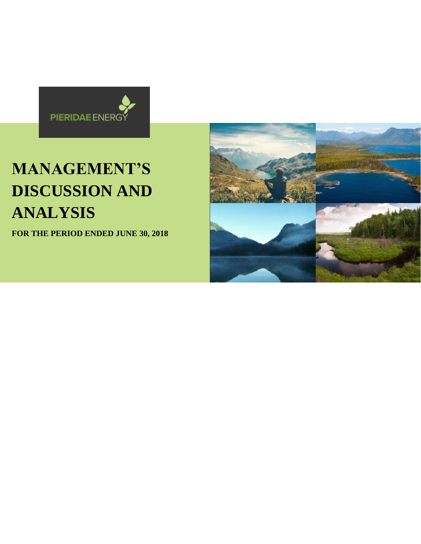

# **MANAGEMENT'S DISCUSSION AND ANALYSIS**

**FOR THE PERIOD ENDED JUNE 30, 2018**

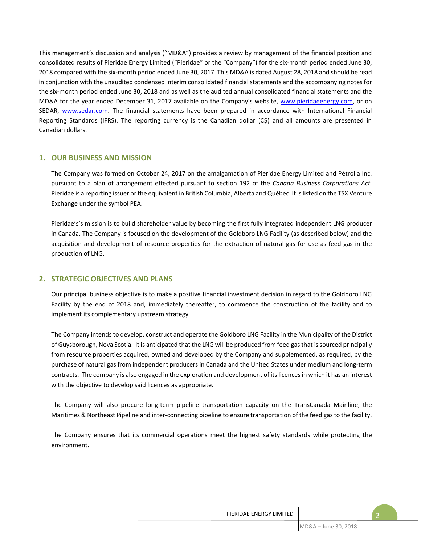This management's discussion and analysis ("MD&A") provides a review by management of the financial position and consolidated results of Pieridae Energy Limited ("Pieridae" or the "Company") for the six-month period ended June 30, 2018 compared with the six-month period ended June 30, 2017. This MD&A is dated August 28, 2018 and should be read in conjunction with the unaudited condensed interim consolidated financial statements and the accompanying notes for the six-month period ended June 30, 2018 and as well as the audited annual consolidated financial statements and the MD&A for the year ended December 31, 2017 available on the Company's website, www.pieridaeenergy.com, or on SEDAR, www.sedar.com. The financial statements have been prepared in accordance with International Financial Reporting Standards (IFRS). The reporting currency is the Canadian dollar (C\$) and all amounts are presented in Canadian dollars.

## **1. OUR BUSINESS AND MISSION**

The Company was formed on October 24, 2017 on the amalgamation of Pieridae Energy Limited and Pétrolia Inc. pursuant to a plan of arrangement effected pursuant to section 192 of the *Canada Business Corporations Act.* Pieridae is a reporting issuer or the equivalent in British Columbia, Alberta and Québec. It islisted on the TSX Venture Exchange under the symbol PEA.

Pieridae's's mission is to build shareholder value by becoming the first fully integrated independent LNG producer in Canada. The Company is focused on the development of the Goldboro LNG Facility (as described below) and the acquisition and development of resource properties for the extraction of natural gas for use as feed gas in the production of LNG.

# **2. STRATEGIC OBJECTIVES AND PLANS**

Our principal business objective is to make a positive financial investment decision in regard to the Goldboro LNG Facility by the end of 2018 and, immediately thereafter, to commence the construction of the facility and to implement its complementary upstream strategy.

The Company intends to develop, construct and operate the Goldboro LNG Facility in the Municipality of the District of Guysborough, Nova Scotia. It is anticipated that the LNG will be produced from feed gas that issourced principally from resource properties acquired, owned and developed by the Company and supplemented, as required, by the purchase of natural gas from independent producers in Canada and the United States under medium and long-term contracts. The company is also engaged in the exploration and development of its licences in which it has an interest with the objective to develop said licences as appropriate.

The Company will also procure long-term pipeline transportation capacity on the TransCanada Mainline, the Maritimes & Northeast Pipeline and inter-connecting pipeline to ensure transportation of the feed gas to the facility.

The Company ensures that its commercial operations meet the highest safety standards while protecting the environment.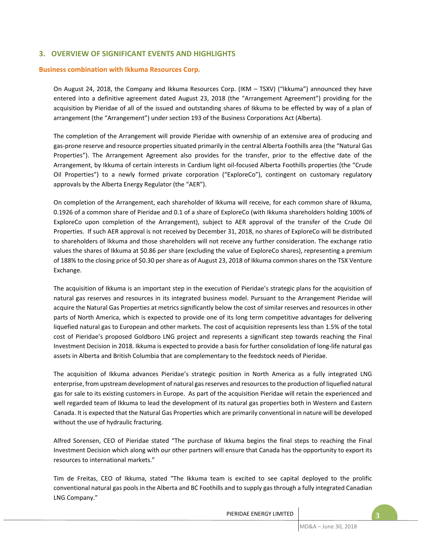# **3. OVERVIEW OF SIGNIFICANT EVENTS AND HIGHLIGHTS**

## **Business combination with Ikkuma Resources Corp.**

On August 24, 2018, the Company and Ikkuma Resources Corp. (IKM – TSXV) ("Ikkuma") announced they have entered into a definitive agreement dated August 23, 2018 (the "Arrangement Agreement") providing for the acquisition by Pieridae of all of the issued and outstanding shares of Ikkuma to be effected by way of a plan of arrangement (the "Arrangement") under section 193 of the Business Corporations Act (Alberta).

The completion of the Arrangement will provide Pieridae with ownership of an extensive area of producing and gas-prone reserve and resource properties situated primarily in the central Alberta Foothills area (the "Natural Gas Properties"). The Arrangement Agreement also provides for the transfer, prior to the effective date of the Arrangement, by Ikkuma of certain interests in Cardium light oil-focused Alberta Foothills properties (the "Crude Oil Properties") to a newly formed private corporation ("ExploreCo"), contingent on customary regulatory approvals by the Alberta Energy Regulator (the "AER").

On completion of the Arrangement, each shareholder of Ikkuma will receive, for each common share of Ikkuma, 0.1926 of a common share of Pieridae and 0.1 of a share of ExploreCo (with Ikkuma shareholders holding 100% of ExploreCo upon completion of the Arrangement), subject to AER approval of the transfer of the Crude Oil Properties. If such AER approval is not received by December 31, 2018, no shares of ExploreCo will be distributed to shareholders of Ikkuma and those shareholders will not receive any further consideration. The exchange ratio values the shares of Ikkuma at \$0.86 per share (excluding the value of ExploreCo shares), representing a premium of 188% to the closing price of \$0.30 per share as of August 23, 2018 of Ikkuma common shares on the TSX Venture Exchange.

The acquisition of Ikkuma is an important step in the execution of Pieridae's strategic plans for the acquisition of natural gas reserves and resources in its integrated business model. Pursuant to the Arrangement Pieridae will acquire the Natural Gas Properties at metrics significantly below the cost of similar reserves and resources in other parts of North America, which is expected to provide one of its long term competitive advantages for delivering liquefied natural gas to European and other markets. The cost of acquisition represents less than 1.5% of the total cost of Pieridae's proposed Goldboro LNG project and represents a significant step towards reaching the Final Investment Decision in 2018. Ikkuma is expected to provide a basis for further consolidation of long-life natural gas assets in Alberta and British Columbia that are complementary to the feedstock needs of Pieridae.

The acquisition of Ikkuma advances Pieridae's strategic position in North America as a fully integrated LNG enterprise, from upstream development of natural gas reserves and resources to the production of liquefied natural gas for sale to its existing customers in Europe. As part of the acquisition Pieridae will retain the experienced and well regarded team of Ikkuma to lead the development of its natural gas properties both in Western and Eastern Canada. It is expected that the Natural Gas Properties which are primarily conventional in nature will be developed without the use of hydraulic fracturing.

Alfred Sorensen, CEO of Pieridae stated "The purchase of Ikkuma begins the final steps to reaching the Final Investment Decision which along with our other partners will ensure that Canada has the opportunity to export its resources to international markets."

Tim de Freitas, CEO of Ikkuma, stated "The Ikkuma team is excited to see capital deployed to the prolific conventional natural gas pools in the Alberta and BC Foothills and to supply gas through a fully integrated Canadian LNG Company."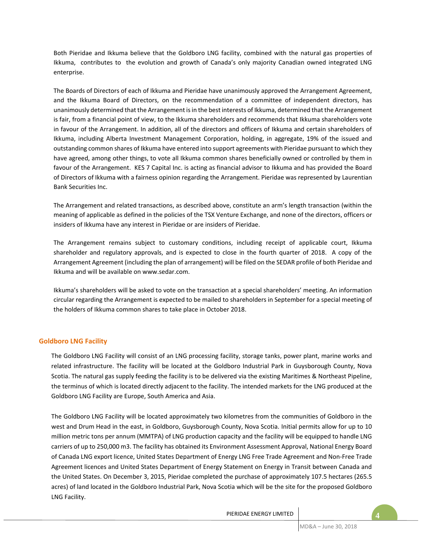Both Pieridae and Ikkuma believe that the Goldboro LNG facility, combined with the natural gas properties of Ikkuma, contributes to the evolution and growth of Canada's only majority Canadian owned integrated LNG enterprise.

The Boards of Directors of each of Ikkuma and Pieridae have unanimously approved the Arrangement Agreement, and the Ikkuma Board of Directors, on the recommendation of a committee of independent directors, has unanimously determined that the Arrangement is in the best interests of Ikkuma, determined that the Arrangement is fair, from a financial point of view, to the Ikkuma shareholders and recommends that Ikkuma shareholders vote in favour of the Arrangement. In addition, all of the directors and officers of Ikkuma and certain shareholders of Ikkuma, including Alberta Investment Management Corporation, holding, in aggregate, 19% of the issued and outstanding common shares of Ikkuma have entered into support agreements with Pieridae pursuant to which they have agreed, among other things, to vote all Ikkuma common shares beneficially owned or controlled by them in favour of the Arrangement. KES 7 Capital Inc. is acting as financial advisor to Ikkuma and has provided the Board of Directors of Ikkuma with a fairness opinion regarding the Arrangement. Pieridae was represented by Laurentian Bank Securities Inc.

The Arrangement and related transactions, as described above, constitute an arm's length transaction (within the meaning of applicable as defined in the policies of the TSX Venture Exchange, and none of the directors, officers or insiders of Ikkuma have any interest in Pieridae or are insiders of Pieridae.

The Arrangement remains subject to customary conditions, including receipt of applicable court, Ikkuma shareholder and regulatory approvals, and is expected to close in the fourth quarter of 2018. A copy of the Arrangement Agreement (including the plan of arrangement) will be filed on the SEDAR profile of both Pieridae and Ikkuma and will be available on www.sedar.com.

Ikkuma's shareholders will be asked to vote on the transaction at a special shareholders' meeting. An information circular regarding the Arrangement is expected to be mailed to shareholders in September for a special meeting of the holders of Ikkuma common shares to take place in October 2018.

## **Goldboro LNG Facility**

The Goldboro LNG Facility will consist of an LNG processing facility, storage tanks, power plant, marine works and related infrastructure. The facility will be located at the Goldboro Industrial Park in Guysborough County, Nova Scotia. The natural gas supply feeding the facility is to be delivered via the existing Maritimes & Northeast Pipeline, the terminus of which is located directly adjacent to the facility. The intended markets for the LNG produced at the Goldboro LNG Facility are Europe, South America and Asia.

The Goldboro LNG Facility will be located approximately two kilometres from the communities of Goldboro in the west and Drum Head in the east, in Goldboro, Guysborough County, Nova Scotia. Initial permits allow for up to 10 million metric tons per annum (MMTPA) of LNG production capacity and the facility will be equipped to handle LNG carriers of up to 250,000 m3. The facility has obtained its Environment Assessment Approval, National Energy Board of Canada LNG export licence, United States Department of Energy LNG Free Trade Agreement and Non-Free Trade Agreement licences and United States Department of Energy Statement on Energy in Transit between Canada and the United States. On December 3, 2015, Pieridae completed the purchase of approximately 107.5 hectares (265.5 acres) of land located in the Goldboro Industrial Park, Nova Scotia which will be the site for the proposed Goldboro LNG Facility.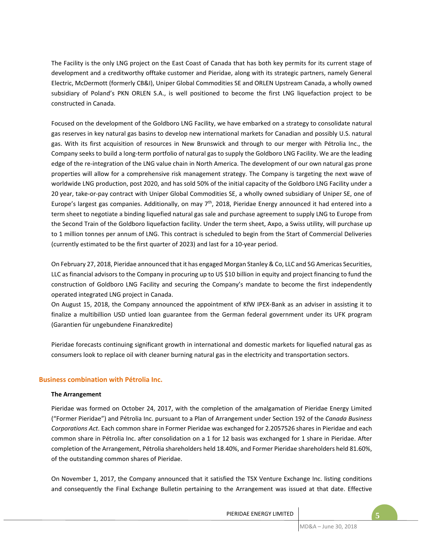The Facility is the only LNG project on the East Coast of Canada that has both key permits for its current stage of development and a creditworthy offtake customer and Pieridae, along with its strategic partners, namely General Electric, McDermott (formerly CB&I), Uniper Global Commodities SE and ORLEN Upstream Canada, a wholly owned subsidiary of Poland's PKN ORLEN S.A., is well positioned to become the first LNG liquefaction project to be constructed in Canada.

Focused on the development of the Goldboro LNG Facility, we have embarked on a strategy to consolidate natural gas reserves in key natural gas basins to develop new international markets for Canadian and possibly U.S. natural gas. With its first acquisition of resources in New Brunswick and through to our merger with Pétrolia Inc., the Company seeks to build a long-term portfolio of natural gas to supply the Goldboro LNG Facility. We are the leading edge of the re-integration of the LNG value chain in North America. The development of our own natural gas prone properties will allow for a comprehensive risk management strategy. The Company is targeting the next wave of worldwide LNG production, post 2020, and has sold 50% of the initial capacity of the Goldboro LNG Facility under a 20 year, take-or-pay contract with Uniper Global Commodities SE, a wholly owned subsidiary of Uniper SE, one of Europe's largest gas companies. Additionally, on may 7th, 2018, Pieridae Energy announced it had entered into a term sheet to negotiate a binding liquefied natural gas sale and purchase agreement to supply LNG to Europe from the Second Train of the Goldboro liquefaction facility. Under the term sheet, Axpo, a Swiss utility, will purchase up to 1 million tonnes per annum of LNG. This contract is scheduled to begin from the Start of Commercial Deliveries (currently estimated to be the first quarter of 2023) and last for a 10-year period.

On February 27, 2018, Pieridae announced that it has engaged Morgan Stanley & Co, LLC and SG Americas Securities, LLC as financial advisors to the Company in procuring up to US \$10 billion in equity and project financing to fund the construction of Goldboro LNG Facility and securing the Company's mandate to become the first independently operated integrated LNG project in Canada.

On August 15, 2018, the Company announced the appointment of KfW IPEX-Bank as an adviser in assisting it to finalize a multibillion USD untied loan guarantee from the German federal government under its UFK program (Garantien für ungebundene Finanzkredite)

Pieridae forecasts continuing significant growth in international and domestic markets for liquefied natural gas as consumers look to replace oil with cleaner burning natural gas in the electricity and transportation sectors.

## **Business combination with Pétrolia Inc.**

## **The Arrangement**

Pieridae was formed on October 24, 2017, with the completion of the amalgamation of Pieridae Energy Limited ("Former Pieridae") and Pétrolia Inc. pursuant to a Plan of Arrangement under Section 192 of the *Canada Business Corporations Act*. Each common share in Former Pieridae was exchanged for 2.2057526 shares in Pieridae and each common share in Pétrolia Inc. after consolidation on a 1 for 12 basis was exchanged for 1 share in Pieridae. After completion of the Arrangement, Pétrolia shareholders held 18.40%, and Former Pieridae shareholders held 81.60%, of the outstanding common shares of Pieridae.

On November 1, 2017, the Company announced that it satisfied the TSX Venture Exchange Inc. listing conditions and consequently the Final Exchange Bulletin pertaining to the Arrangement was issued at that date. Effective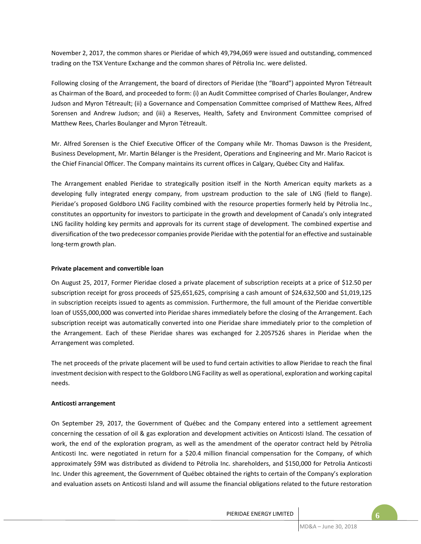November 2, 2017, the common shares or Pieridae of which 49,794,069 were issued and outstanding, commenced trading on the TSX Venture Exchange and the common shares of Pétrolia Inc. were delisted.

Following closing of the Arrangement, the board of directors of Pieridae (the "Board") appointed Myron Tétreault as Chairman of the Board, and proceeded to form: (i) an Audit Committee comprised of Charles Boulanger, Andrew Judson and Myron Tétreault; (ii) a Governance and Compensation Committee comprised of Matthew Rees, Alfred Sorensen and Andrew Judson; and (iii) a Reserves, Health, Safety and Environment Committee comprised of Matthew Rees, Charles Boulanger and Myron Tétreault.

Mr. Alfred Sorensen is the Chief Executive Officer of the Company while Mr. Thomas Dawson is the President, Business Development, Mr. Martin Bélanger is the President, Operations and Engineering and Mr. Mario Racicot is the Chief Financial Officer. The Company maintains its current offices in Calgary, Québec City and Halifax.

The Arrangement enabled Pieridae to strategically position itself in the North American equity markets as a developing fully integrated energy company, from upstream production to the sale of LNG (field to flange). Pieridae's proposed Goldboro LNG Facility combined with the resource properties formerly held by Pétrolia Inc., constitutes an opportunity for investors to participate in the growth and development of Canada's only integrated LNG facility holding key permits and approvals for its current stage of development. The combined expertise and diversification of the two predecessor companies provide Pieridae with the potential for an effective and sustainable long-term growth plan.

## **Private placement and convertible loan**

On August 25, 2017, Former Pieridae closed a private placement of subscription receipts at a price of \$12.50 per subscription receipt for gross proceeds of \$25,651,625, comprising a cash amount of \$24,632,500 and \$1,019,125 in subscription receipts issued to agents as commission. Furthermore, the full amount of the Pieridae convertible loan of US\$5,000,000 was converted into Pieridae shares immediately before the closing of the Arrangement. Each subscription receipt was automatically converted into one Pieridae share immediately prior to the completion of the Arrangement. Each of these Pieridae shares was exchanged for 2.2057526 shares in Pieridae when the Arrangement was completed.

The net proceeds of the private placement will be used to fund certain activities to allow Pieridae to reach the final investment decision with respect to the Goldboro LNG Facility as well as operational, exploration and working capital needs.

## **Anticosti arrangement**

On September 29, 2017, the Government of Québec and the Company entered into a settlement agreement concerning the cessation of oil & gas exploration and development activities on Anticosti Island. The cessation of work, the end of the exploration program, as well as the amendment of the operator contract held by Pétrolia Anticosti Inc. were negotiated in return for a \$20.4 million financial compensation for the Company, of which approximately \$9M was distributed as dividend to Pétrolia Inc. shareholders, and \$150,000 for Petrolia Anticosti Inc. Under this agreement, the Government of Québec obtained the rights to certain of the Company's exploration and evaluation assets on Anticosti Island and will assume the financial obligations related to the future restoration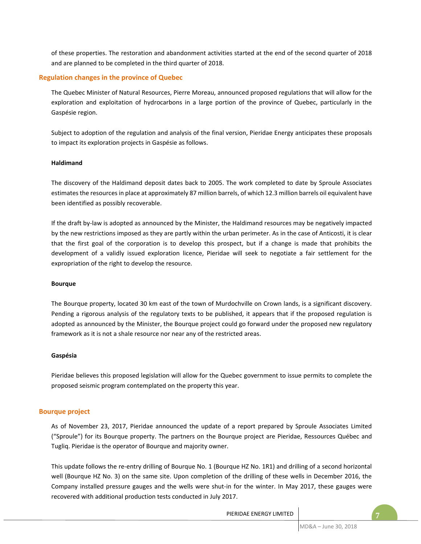of these properties. The restoration and abandonment activities started at the end of the second quarter of 2018 and are planned to be completed in the third quarter of 2018.

## **Regulation changes in the province of Quebec**

The Quebec Minister of Natural Resources, Pierre Moreau, announced proposed regulations that will allow for the exploration and exploitation of hydrocarbons in a large portion of the province of Quebec, particularly in the Gaspésie region.

Subject to adoption of the regulation and analysis of the final version, Pieridae Energy anticipates these proposals to impact its exploration projects in Gaspésie as follows.

## **Haldimand**

The discovery of the Haldimand deposit dates back to 2005. The work completed to date by Sproule Associates estimates the resources in place at approximately 87 million barrels, of which 12.3 million barrels oil equivalent have been identified as possibly recoverable.

If the draft by-law is adopted as announced by the Minister, the Haldimand resources may be negatively impacted by the new restrictions imposed as they are partly within the urban perimeter. As in the case of Anticosti, it is clear that the first goal of the corporation is to develop this prospect, but if a change is made that prohibits the development of a validly issued exploration licence, Pieridae will seek to negotiate a fair settlement for the expropriation of the right to develop the resource.

#### **Bourque**

The Bourque property, located 30 km east of the town of Murdochville on Crown lands, is a significant discovery. Pending a rigorous analysis of the regulatory texts to be published, it appears that if the proposed regulation is adopted as announced by the Minister, the Bourque project could go forward under the proposed new regulatory framework as it is not a shale resource nor near any of the restricted areas.

#### **Gaspésia**

Pieridae believes this proposed legislation will allow for the Quebec government to issue permits to complete the proposed seismic program contemplated on the property this year.

#### **Bourque project**

As of November 23, 2017, Pieridae announced the update of a report prepared by Sproule Associates Limited ("Sproule") for its Bourque property. The partners on the Bourque project are Pieridae, Ressources Québec and Tugliq. Pieridae is the operator of Bourque and majority owner.

This update follows the re-entry drilling of Bourque No. 1 (Bourque HZ No. 1R1) and drilling of a second horizontal well (Bourque HZ No. 3) on the same site. Upon completion of the drilling of these wells in December 2016, the Company installed pressure gauges and the wells were shut-in for the winter. In May 2017, these gauges were recovered with additional production tests conducted in July 2017.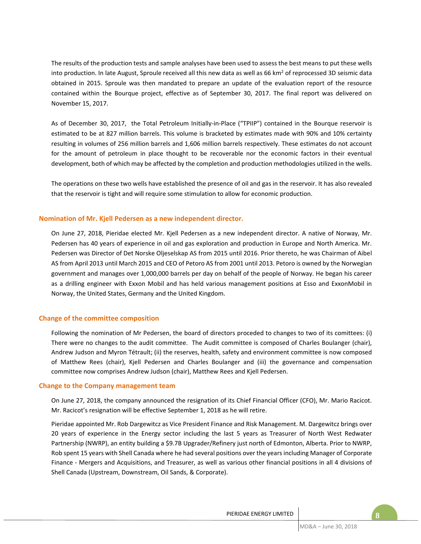The results of the production tests and sample analyses have been used to assess the best means to put these wells into production. In late August, Sproule received all this new data as well as 66 km<sup>2</sup> of reprocessed 3D seismic data obtained in 2015. Sproule was then mandated to prepare an update of the evaluation report of the resource contained within the Bourque project, effective as of September 30, 2017. The final report was delivered on November 15, 2017.

As of December 30, 2017, the Total Petroleum Initially-in-Place ("TPIIP") contained in the Bourque reservoir is estimated to be at 827 million barrels. This volume is bracketed by estimates made with 90% and 10% certainty resulting in volumes of 256 million barrels and 1,606 million barrels respectively. These estimates do not account for the amount of petroleum in place thought to be recoverable nor the economic factors in their eventual development, both of which may be affected by the completion and production methodologies utilized in the wells.

The operations on these two wells have established the presence of oil and gas in the reservoir. It has also revealed that the reservoir is tight and will require some stimulation to allow for economic production.

## **Nomination of Mr. Kjell Pedersen as a new independent director.**

On June 27, 2018, Pieridae elected Mr. Kjell Pedersen as a new independent director. A native of Norway, Mr. Pedersen has 40 years of experience in oil and gas exploration and production in Europe and North America. Mr. Pedersen was Director of Det Norske Oljeselskap AS from 2015 until 2016. Prior thereto, he was Chairman of Aibel AS from April 2013 until March 2015 and CEO of Petoro AS from 2001 until 2013. Petoro is owned by the Norwegian government and manages over 1,000,000 barrels per day on behalf of the people of Norway. He began his career as a drilling engineer with Exxon Mobil and has held various management positions at Esso and ExxonMobil in Norway, the United States, Germany and the United Kingdom.

#### **Change of the committee composition**

Following the nomination of Mr Pedersen, the board of directors proceded to changes to two of its comittees: (i) There were no changes to the audit committee. The Audit committee is composed of Charles Boulanger (chair), Andrew Judson and Myron Tétrault; (ii) the reserves, health, safety and environment committee is now composed of Matthew Rees (chair), Kjell Pedersen and Charles Boulanger and (iii) the governance and compensation committee now comprises Andrew Judson (chair), Matthew Rees and Kjell Pedersen.

#### **Change to the Company management team**

On June 27, 2018, the company announced the resignation of its Chief Financial Officer (CFO), Mr. Mario Racicot. Mr. Racicot's resignation will be effective September 1, 2018 as he will retire.

Pieridae appointed Mr. Rob Dargewitcz as Vice President Finance and Risk Management. M. Dargewitcz brings over 20 years of experience in the Energy sector including the last 5 years as Treasurer of North West Redwater Partnership (NWRP), an entity building a \$9.7B Upgrader/Refinery just north of Edmonton, Alberta. Prior to NWRP, Rob spent 15 years with Shell Canada where he had several positions over the years including Manager of Corporate Finance - Mergers and Acquisitions, and Treasurer, as well as various other financial positions in all 4 divisions of Shell Canada (Upstream, Downstream, Oil Sands, & Corporate).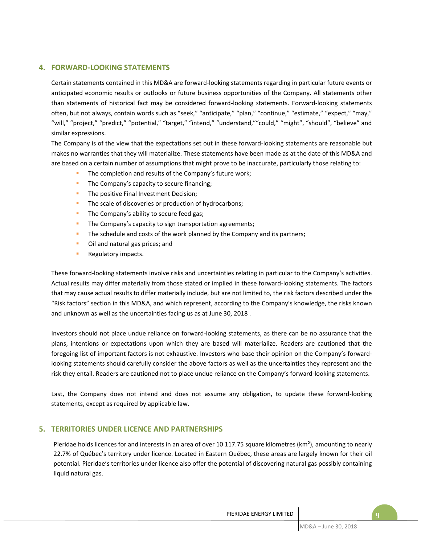# **4. FORWARD-LOOKING STATEMENTS**

Certain statements contained in this MD&A are forward-looking statements regarding in particular future events or anticipated economic results or outlooks or future business opportunities of the Company. All statements other than statements of historical fact may be considered forward-looking statements. Forward-looking statements often, but not always, contain words such as "seek," "anticipate," "plan," "continue," "estimate," "expect," "may," "will," "project," "predict," "potential," "target," "intend," "understand,""could," "might", "should", "believe" and similar expressions.

The Company is of the view that the expectations set out in these forward-looking statements are reasonable but makes no warranties that they will materialize. These statements have been made as at the date of this MD&A and are based on a certain number of assumptions that might prove to be inaccurate, particularly those relating to:

- The completion and results of the Company's future work:
- The Company's capacity to secure financing;
- **·** The positive Final Investment Decision;
- The scale of discoveries or production of hydrocarbons;
- **·** The Company's ability to secure feed gas;
- The Company's capacity to sign transportation agreements;
- **•** The schedule and costs of the work planned by the Company and its partners;
- Oil and natural gas prices; and
- Regulatory impacts.

These forward-looking statements involve risks and uncertainties relating in particular to the Company's activities. Actual results may differ materially from those stated or implied in these forward-looking statements. The factors that may cause actual results to differ materially include, but are not limited to, the risk factors described under the "Risk factors" section in this MD&A, and which represent, according to the Company's knowledge, the risks known and unknown as well as the uncertainties facing us as at June 30, 2018 .

Investors should not place undue reliance on forward-looking statements, as there can be no assurance that the plans, intentions or expectations upon which they are based will materialize. Readers are cautioned that the foregoing list of important factors is not exhaustive. Investors who base their opinion on the Company's forwardlooking statements should carefully consider the above factors as well as the uncertainties they represent and the risk they entail. Readers are cautioned not to place undue reliance on the Company's forward-looking statements.

Last, the Company does not intend and does not assume any obligation, to update these forward-looking statements, except as required by applicable law.

# **5. TERRITORIES UNDER LICENCE AND PARTNERSHIPS**

Pieridae holds licences for and interests in an area of over 10 117.75 square kilometres (km<sup>2</sup>), amounting to nearly 22.7% of Québec's territory under licence. Located in Eastern Québec, these areas are largely known for their oil potential. Pieridae's territories under licence also offer the potential of discovering natural gas possibly containing liquid natural gas.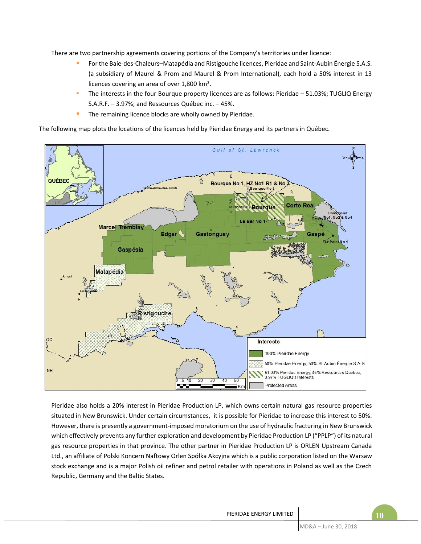There are two partnership agreements covering portions of the Company's territories under licence:

- For the Baie-des-Chaleurs–Matapédia and Ristigouche licences, Pieridae and Saint-Aubin Énergie S.A.S. (a subsidiary of Maurel & Prom and Maurel & Prom International), each hold a 50% interest in 13 licences covering an area of over 1,800 km².
- The interests in the four Bourque property licences are as follows: Pieridae 51.03%; TUGLIQ Energy S.A.R.F. – 3.97%; and Ressources Québec inc. – 45%.
- The remaining licence blocks are wholly owned by Pieridae.

The following map plots the locations of the licences held by Pieridae Energy and its partners in Québec.



Pieridae also holds a 20% interest in Pieridae Production LP, which owns certain natural gas resource properties situated in New Brunswick. Under certain circumstances, it is possible for Pieridae to increase this interest to 50%. However, there is presently a government-imposed moratorium on the use of hydraulic fracturing in New Brunswick which effectively prevents any further exploration and development by Pieridae Production LP ("PPLP") of its natural gas resource properties in that province. The other partner in Pieridae Production LP is ORLEN Upstream Canada Ltd., an affiliate of Polski Koncern Naftowy Orlen Spółka Akcyjna which is a public corporation listed on the Warsaw stock exchange and is a major Polish oil refiner and petrol retailer with operations in Poland as well as the Czech Republic, Germany and the Baltic States.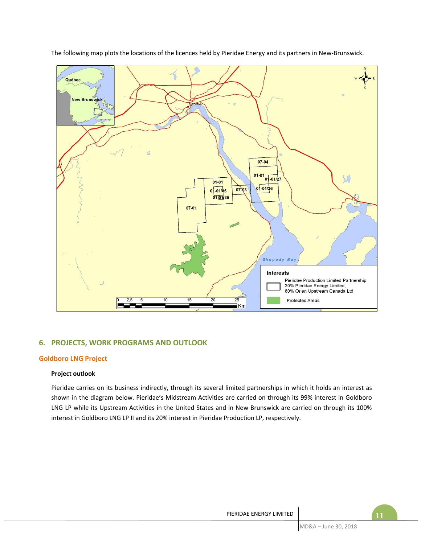

The following map plots the locations of the licences held by Pieridae Energy and its partners in New-Brunswick.

# **6. PROJECTS, WORK PROGRAMS AND OUTLOOK**

# **Goldboro LNG Project**

## **Project outlook**

Pieridae carries on its business indirectly, through its several limited partnerships in which it holds an interest as shown in the diagram below. Pieridae's Midstream Activities are carried on through its 99% interest in Goldboro LNG LP while its Upstream Activities in the United States and in New Brunswick are carried on through its 100% interest in Goldboro LNG LP II and its 20% interest in Pieridae Production LP, respectively.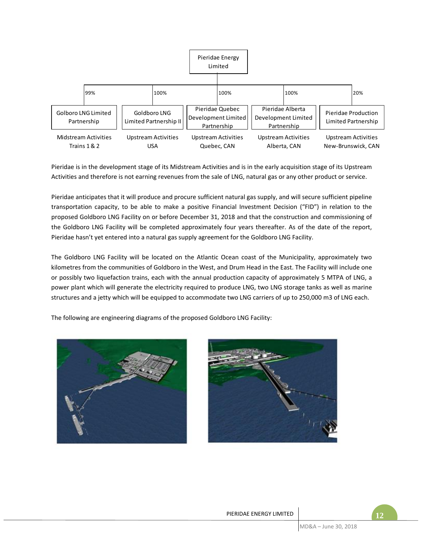

Pieridae is in the development stage of its Midstream Activities and is in the early acquisition stage of its Upstream Activities and therefore is not earning revenues from the sale of LNG, natural gas or any other product or service.

Pieridae anticipates that it will produce and procure sufficient natural gas supply, and will secure sufficient pipeline transportation capacity, to be able to make a positive Financial Investment Decision ("FID") in relation to the proposed Goldboro LNG Facility on or before December 31, 2018 and that the construction and commissioning of the Goldboro LNG Facility will be completed approximately four years thereafter. As of the date of the report, Pieridae hasn't yet entered into a natural gas supply agreement for the Goldboro LNG Facility.

The Goldboro LNG Facility will be located on the Atlantic Ocean coast of the Municipality, approximately two kilometres from the communities of Goldboro in the West, and Drum Head in the East. The Facility will include one or possibly two liquefaction trains, each with the annual production capacity of approximately 5 MTPA of LNG, a power plant which will generate the electricity required to produce LNG, two LNG storage tanks as well as marine structures and a jetty which will be equipped to accommodate two LNG carriers of up to 250,000 m3 of LNG each.

The following are engineering diagrams of the proposed Goldboro LNG Facility:



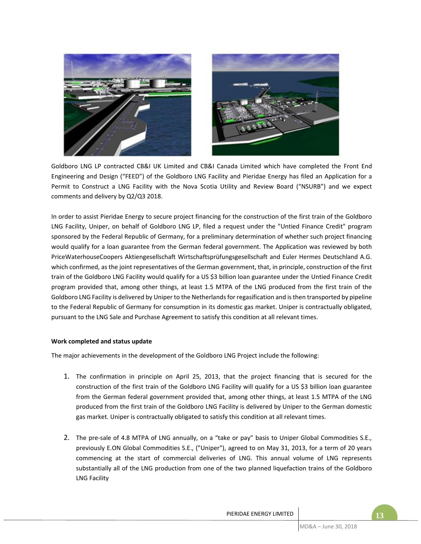

Goldboro LNG LP contracted CB&I UK Limited and CB&I Canada Limited which have completed the Front End Engineering and Design ("FEED") of the Goldboro LNG Facility and Pieridae Energy has filed an Application for a Permit to Construct a LNG Facility with the Nova Scotia Utility and Review Board ("NSURB") and we expect comments and delivery by Q2/Q3 2018.

In order to assist Pieridae Energy to secure project financing for the construction of the first train of the Goldboro LNG Facility, Uniper, on behalf of Goldboro LNG LP, filed a request under the "Untied Finance Credit" program sponsored by the Federal Republic of Germany, for a preliminary determination of whether such project financing would qualify for a loan guarantee from the German federal government. The Application was reviewed by both PriceWaterhouseCoopers Aktiengesellschaft Wirtschaftsprüfungsgesellschaft and Euler Hermes Deutschland A.G. which confirmed, as the joint representatives of the German government, that, in principle, construction of the first train of the Goldboro LNG Facility would qualify for a US \$3 billion loan guarantee under the Untied Finance Credit program provided that, among other things, at least 1.5 MTPA of the LNG produced from the first train of the Goldboro LNG Facility is delivered by Uniper to the Netherlands for regasification and is then transported by pipeline to the Federal Republic of Germany for consumption in its domestic gas market. Uniper is contractually obligated, pursuant to the LNG Sale and Purchase Agreement to satisfy this condition at all relevant times.

## **Work completed and status update**

The major achievements in the development of the Goldboro LNG Project include the following:

- 1. The confirmation in principle on April 25, 2013, that the project financing that is secured for the construction of the first train of the Goldboro LNG Facility will qualify for a US \$3 billion loan guarantee from the German federal government provided that, among other things, at least 1.5 MTPA of the LNG produced from the first train of the Goldboro LNG Facility is delivered by Uniper to the German domestic gas market. Uniper is contractually obligated to satisfy this condition at all relevant times.
- 2. The pre-sale of 4.8 MTPA of LNG annually, on a "take or pay" basis to Uniper Global Commodities S.E., previously E.ON Global Commodities S.E., ("Uniper"), agreed to on May 31, 2013, for a term of 20 years commencing at the start of commercial deliveries of LNG. This annual volume of LNG represents substantially all of the LNG production from one of the two planned liquefaction trains of the Goldboro LNG Facility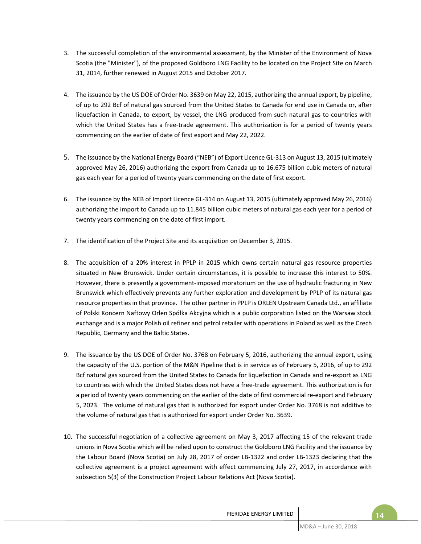- 3. The successful completion of the environmental assessment, by the Minister of the Environment of Nova Scotia (the "Minister"), of the proposed Goldboro LNG Facility to be located on the Project Site on March 31, 2014, further renewed in August 2015 and October 2017.
- 4. The issuance by the US DOE of Order No. 3639 on May 22, 2015, authorizing the annual export, by pipeline, of up to 292 Bcf of natural gas sourced from the United States to Canada for end use in Canada or, after liquefaction in Canada, to export, by vessel, the LNG produced from such natural gas to countries with which the United States has a free-trade agreement. This authorization is for a period of twenty years commencing on the earlier of date of first export and May 22, 2022.
- 5. The issuance by the National Energy Board ("NEB") of Export Licence GL-313 on August 13, 2015 (ultimately approved May 26, 2016) authorizing the export from Canada up to 16.675 billion cubic meters of natural gas each year for a period of twenty years commencing on the date of first export.
- 6. The issuance by the NEB of Import Licence GL-314 on August 13, 2015 (ultimately approved May 26, 2016) authorizing the import to Canada up to 11.845 billion cubic meters of natural gas each year for a period of twenty years commencing on the date of first import.
- 7. The identification of the Project Site and its acquisition on December 3, 2015.
- 8. The acquisition of a 20% interest in PPLP in 2015 which owns certain natural gas resource properties situated in New Brunswick. Under certain circumstances, it is possible to increase this interest to 50%. However, there is presently a government-imposed moratorium on the use of hydraulic fracturing in New Brunswick which effectively prevents any further exploration and development by PPLP of its natural gas resource properties in that province. The other partner in PPLP is ORLEN Upstream Canada Ltd., an affiliate of Polski Koncern Naftowy Orlen Spółka Akcyjna which is a public corporation listed on the Warsaw stock exchange and is a major Polish oil refiner and petrol retailer with operations in Poland as well as the Czech Republic, Germany and the Baltic States.
- 9. The issuance by the US DOE of Order No. 3768 on February 5, 2016, authorizing the annual export, using the capacity of the U.S. portion of the M&N Pipeline that is in service as of February 5, 2016, of up to 292 Bcf natural gas sourced from the United States to Canada for liquefaction in Canada and re-export as LNG to countries with which the United States does not have a free-trade agreement. This authorization is for a period of twenty years commencing on the earlier of the date of first commercial re-export and February 5, 2023. The volume of natural gas that is authorized for export under Order No. 3768 is not additive to the volume of natural gas that is authorized for export under Order No. 3639.
- 10. The successful negotiation of a collective agreement on May 3, 2017 affecting 15 of the relevant trade unions in Nova Scotia which will be relied upon to construct the Goldboro LNG Facility and the issuance by the Labour Board (Nova Scotia) on July 28, 2017 of order LB-1322 and order LB-1323 declaring that the collective agreement is a project agreement with effect commencing July 27, 2017, in accordance with subsection 5(3) of the Construction Project Labour Relations Act (Nova Scotia).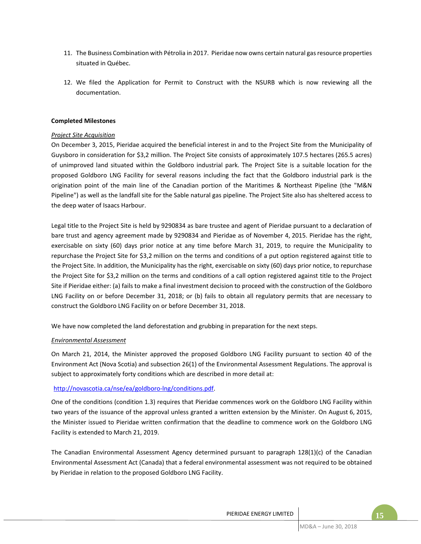- 11. The Business Combination with Pétrolia in 2017. Pieridae now owns certain natural gas resource properties situated in Québec.
- 12. We filed the Application for Permit to Construct with the NSURB which is now reviewing all the documentation.

## **Completed Milestones**

## *Project Site Acquisition*

On December 3, 2015, Pieridae acquired the beneficial interest in and to the Project Site from the Municipality of Guysboro in consideration for \$3,2 million. The Project Site consists of approximately 107.5 hectares (265.5 acres) of unimproved land situated within the Goldboro industrial park. The Project Site is a suitable location for the proposed Goldboro LNG Facility for several reasons including the fact that the Goldboro industrial park is the origination point of the main line of the Canadian portion of the Maritimes & Northeast Pipeline (the "M&N Pipeline") as well as the landfall site for the Sable natural gas pipeline. The Project Site also has sheltered access to the deep water of Isaacs Harbour.

Legal title to the Project Site is held by 9290834 as bare trustee and agent of Pieridae pursuant to a declaration of bare trust and agency agreement made by 9290834 and Pieridae as of November 4, 2015. Pieridae has the right, exercisable on sixty (60) days prior notice at any time before March 31, 2019, to require the Municipality to repurchase the Project Site for \$3,2 million on the terms and conditions of a put option registered against title to the Project Site. In addition, the Municipality has the right, exercisable on sixty (60) days prior notice, to repurchase the Project Site for \$3,2 million on the terms and conditions of a call option registered against title to the Project Site if Pieridae either: (a) fails to make a final investment decision to proceed with the construction of the Goldboro LNG Facility on or before December 31, 2018; or (b) fails to obtain all regulatory permits that are necessary to construct the Goldboro LNG Facility on or before December 31, 2018.

We have now completed the land deforestation and grubbing in preparation for the next steps.

## *Environmental Assessment*

On March 21, 2014, the Minister approved the proposed Goldboro LNG Facility pursuant to section 40 of the Environment Act (Nova Scotia) and subsection 26(1) of the Environmental Assessment Regulations. The approval is subject to approximately forty conditions which are described in more detail at:

## http://novascotia.ca/nse/ea/goldboro-lng/conditions.pdf.

One of the conditions (condition 1.3) requires that Pieridae commences work on the Goldboro LNG Facility within two years of the issuance of the approval unless granted a written extension by the Minister. On August 6, 2015, the Minister issued to Pieridae written confirmation that the deadline to commence work on the Goldboro LNG Facility is extended to March 21, 2019.

The Canadian Environmental Assessment Agency determined pursuant to paragraph 128(1)(c) of the Canadian Environmental Assessment Act (Canada) that a federal environmental assessment was not required to be obtained by Pieridae in relation to the proposed Goldboro LNG Facility.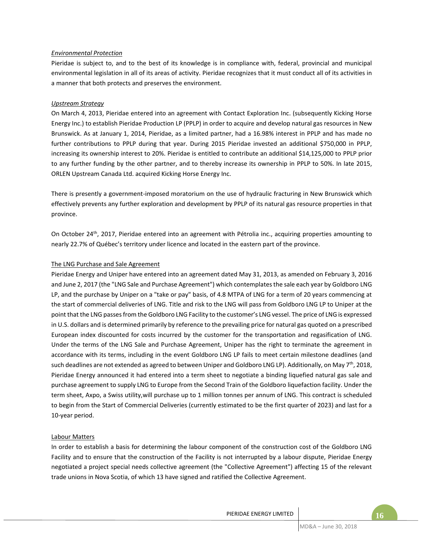## *Environmental Protection*

Pieridae is subject to, and to the best of its knowledge is in compliance with, federal, provincial and municipal environmental legislation in all of its areas of activity. Pieridae recognizes that it must conduct all of its activities in a manner that both protects and preserves the environment.

## *Upstream Strategy*

On March 4, 2013, Pieridae entered into an agreement with Contact Exploration Inc. (subsequently Kicking Horse Energy Inc.) to establish Pieridae Production LP (PPLP) in order to acquire and develop natural gas resources in New Brunswick. As at January 1, 2014, Pieridae, as a limited partner, had a 16.98% interest in PPLP and has made no further contributions to PPLP during that year. During 2015 Pieridae invested an additional \$750,000 in PPLP, increasing its ownership interest to 20%. Pieridae is entitled to contribute an additional \$14,125,000 to PPLP prior to any further funding by the other partner, and to thereby increase its ownership in PPLP to 50%. In late 2015, ORLEN Upstream Canada Ltd. acquired Kicking Horse Energy Inc.

There is presently a government-imposed moratorium on the use of hydraulic fracturing in New Brunswick which effectively prevents any further exploration and development by PPLP of its natural gas resource properties in that province.

On October 24<sup>th</sup>, 2017, Pieridae entered into an agreement with Pétrolia inc., acquiring properties amounting to nearly 22.7% of Québec's territory under licence and located in the eastern part of the province.

## The LNG Purchase and Sale Agreement

Pieridae Energy and Uniper have entered into an agreement dated May 31, 2013, as amended on February 3, 2016 and June 2, 2017 (the "LNG Sale and Purchase Agreement") which contemplates the sale each year by Goldboro LNG LP, and the purchase by Uniper on a "take or pay" basis, of 4.8 MTPA of LNG for a term of 20 years commencing at the start of commercial deliveries of LNG. Title and risk to the LNG will pass from Goldboro LNG LP to Uniper at the point that the LNG passesfrom the Goldboro LNG Facility to the customer's LNG vessel. The price of LNG is expressed in U.S. dollars and is determined primarily by reference to the prevailing price for natural gas quoted on a prescribed European index discounted for costs incurred by the customer for the transportation and regasification of LNG. Under the terms of the LNG Sale and Purchase Agreement, Uniper has the right to terminate the agreement in accordance with its terms, including in the event Goldboro LNG LP fails to meet certain milestone deadlines (and such deadlines are not extended as agreed to between Uniper and Goldboro LNG LP). Additionally, on May 7<sup>th</sup>, 2018, Pieridae Energy announced it had entered into a term sheet to negotiate a binding liquefied natural gas sale and purchase agreement to supply LNG to Europe from the Second Train of the Goldboro liquefaction facility. Under the term sheet, Axpo, a Swiss utility,will purchase up to 1 million tonnes per annum of LNG. This contract is scheduled to begin from the Start of Commercial Deliveries (currently estimated to be the first quarter of 2023) and last for a 10-year period.

# Labour Matters

In order to establish a basis for determining the labour component of the construction cost of the Goldboro LNG Facility and to ensure that the construction of the Facility is not interrupted by a labour dispute, Pieridae Energy negotiated a project special needs collective agreement (the "Collective Agreement") affecting 15 of the relevant trade unions in Nova Scotia, of which 13 have signed and ratified the Collective Agreement.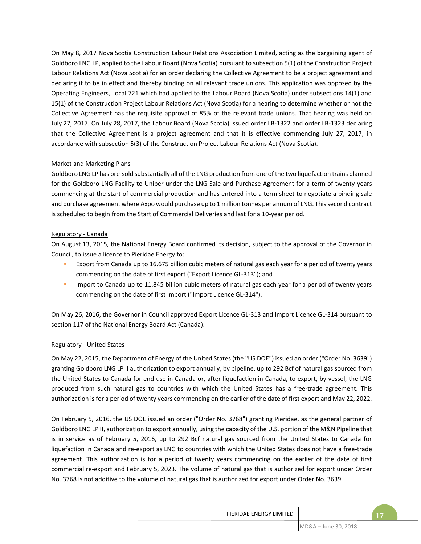On May 8, 2017 Nova Scotia Construction Labour Relations Association Limited, acting as the bargaining agent of Goldboro LNG LP, applied to the Labour Board (Nova Scotia) pursuant to subsection 5(1) of the Construction Project Labour Relations Act (Nova Scotia) for an order declaring the Collective Agreement to be a project agreement and declaring it to be in effect and thereby binding on all relevant trade unions. This application was opposed by the Operating Engineers, Local 721 which had applied to the Labour Board (Nova Scotia) under subsections 14(1) and 15(1) of the Construction Project Labour Relations Act (Nova Scotia) for a hearing to determine whether or not the Collective Agreement has the requisite approval of 85% of the relevant trade unions. That hearing was held on July 27, 2017. On July 28, 2017, the Labour Board (Nova Scotia) issued order LB-1322 and order LB-1323 declaring that the Collective Agreement is a project agreement and that it is effective commencing July 27, 2017, in accordance with subsection 5(3) of the Construction Project Labour Relations Act (Nova Scotia).

## Market and Marketing Plans

Goldboro LNG LP has pre-sold substantially all of the LNG production from one of the two liquefaction trains planned for the Goldboro LNG Facility to Uniper under the LNG Sale and Purchase Agreement for a term of twenty years commencing at the start of commercial production and has entered into a term sheet to negotiate a binding sale and purchase agreement where Axpo would purchase up to 1 million tonnes per annum of LNG. Thissecond contract is scheduled to begin from the Start of Commercial Deliveries and last for a 10-year period.

## Regulatory - Canada

On August 13, 2015, the National Energy Board confirmed its decision, subject to the approval of the Governor in Council, to issue a licence to Pieridae Energy to:

- **Export from Canada up to 16.675 billion cubic meters of natural gas each year for a period of twenty years** commencing on the date of first export ("Export Licence GL-313"); and
- **■** Import to Canada up to 11.845 billion cubic meters of natural gas each year for a period of twenty years commencing on the date of first import ("Import Licence GL-314").

On May 26, 2016, the Governor in Council approved Export Licence GL-313 and Import Licence GL-314 pursuant to section 117 of the National Energy Board Act (Canada).

## Regulatory - United States

On May 22, 2015, the Department of Energy of the United States (the "US DOE") issued an order ("Order No. 3639") granting Goldboro LNG LP II authorization to export annually, by pipeline, up to 292 Bcf of natural gas sourced from the United States to Canada for end use in Canada or, after liquefaction in Canada, to export, by vessel, the LNG produced from such natural gas to countries with which the United States has a free-trade agreement. This authorization is for a period of twenty years commencing on the earlier of the date of first export and May 22, 2022.

On February 5, 2016, the US DOE issued an order ("Order No. 3768") granting Pieridae, as the general partner of Goldboro LNG LP II, authorization to export annually, using the capacity of the U.S. portion of the M&N Pipeline that is in service as of February 5, 2016, up to 292 Bcf natural gas sourced from the United States to Canada for liquefaction in Canada and re-export as LNG to countries with which the United States does not have a free-trade agreement. This authorization is for a period of twenty years commencing on the earlier of the date of first commercial re-export and February 5, 2023. The volume of natural gas that is authorized for export under Order No. 3768 is not additive to the volume of natural gas that is authorized for export under Order No. 3639.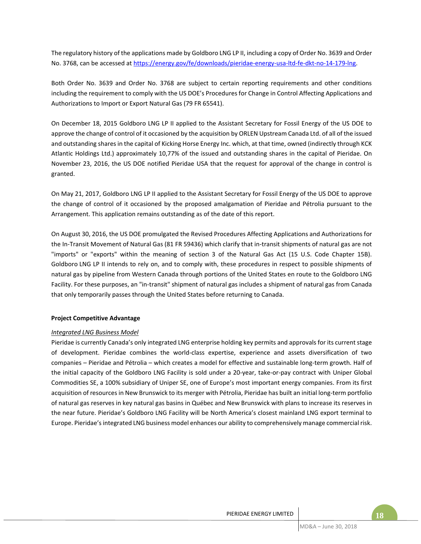The regulatory history of the applications made by Goldboro LNG LP II, including a copy of Order No. 3639 and Order No. 3768, can be accessed at https://energy.gov/fe/downloads/pieridae-energy-usa-ltd-fe-dkt-no-14-179-lng.

Both Order No. 3639 and Order No. 3768 are subject to certain reporting requirements and other conditions including the requirement to comply with the US DOE's Procedures for Change in Control Affecting Applications and Authorizations to Import or Export Natural Gas (79 FR 65541).

On December 18, 2015 Goldboro LNG LP II applied to the Assistant Secretary for Fossil Energy of the US DOE to approve the change of control of it occasioned by the acquisition by ORLEN Upstream Canada Ltd. of all of the issued and outstanding shares in the capital of Kicking Horse Energy Inc. which, at that time, owned (indirectly through KCK Atlantic Holdings Ltd.) approximately 10,77% of the issued and outstanding shares in the capital of Pieridae. On November 23, 2016, the US DOE notified Pieridae USA that the request for approval of the change in control is granted.

On May 21, 2017, Goldboro LNG LP II applied to the Assistant Secretary for Fossil Energy of the US DOE to approve the change of control of it occasioned by the proposed amalgamation of Pieridae and Pétrolia pursuant to the Arrangement. This application remains outstanding as of the date of this report.

On August 30, 2016, the US DOE promulgated the Revised Procedures Affecting Applications and Authorizations for the In-Transit Movement of Natural Gas (81 FR 59436) which clarify that in-transit shipments of natural gas are not "imports" or "exports" within the meaning of section 3 of the Natural Gas Act (15 U.S. Code Chapter 15B). Goldboro LNG LP II intends to rely on, and to comply with, these procedures in respect to possible shipments of natural gas by pipeline from Western Canada through portions of the United States en route to the Goldboro LNG Facility. For these purposes, an "in-transit" shipment of natural gas includes a shipment of natural gas from Canada that only temporarily passes through the United States before returning to Canada.

## **Project Competitive Advantage**

## *Integrated LNG Business Model*

Pieridae is currently Canada's only integrated LNG enterprise holding key permits and approvals for its current stage of development. Pieridae combines the world-class expertise, experience and assets diversification of two companies – Pieridae and Pétrolia – which creates a model for effective and sustainable long-term growth. Half of the initial capacity of the Goldboro LNG Facility is sold under a 20-year, take-or-pay contract with Uniper Global Commodities SE, a 100% subsidiary of Uniper SE, one of Europe's most important energy companies. From its first acquisition of resources in New Brunswick to its merger with Pétrolia, Pieridae has built an initial long-term portfolio of natural gas reserves in key natural gas basins in Québec and New Brunswick with plans to increase its reserves in the near future. Pieridae's Goldboro LNG Facility will be North America's closest mainland LNG export terminal to Europe. Pieridae's integrated LNG business model enhances our ability to comprehensively manage commercial risk.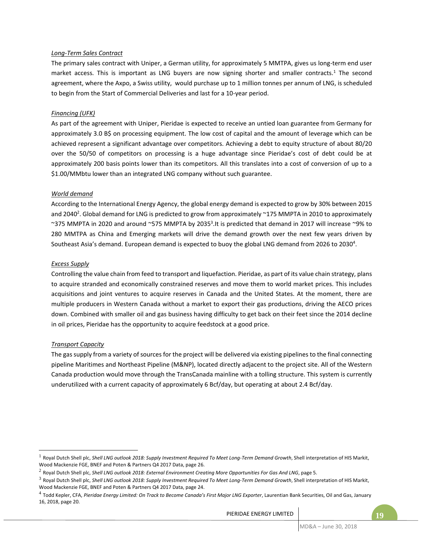## *Long-Term Sales Contract*

The primary sales contract with Uniper, a German utility, for approximately 5 MMTPA, gives us long-term end user market access. This is important as LNG buvers are now signing shorter and smaller contracts.<sup>1</sup> The second agreement, where the Axpo, a Swiss utility, would purchase up to 1 million tonnes per annum of LNG, is scheduled to begin from the Start of Commercial Deliveries and last for a 10-year period.

## *Financing (UFK)*

As part of the agreement with Uniper, Pieridae is expected to receive an untied loan guarantee from Germany for approximately 3.0 B\$ on processing equipment. The low cost of capital and the amount of leverage which can be achieved represent a significant advantage over competitors. Achieving a debt to equity structure of about 80/20 over the 50/50 of competitors on processing is a huge advantage since Pieridae's cost of debt could be at approximately 200 basis points lower than its competitors. All this translates into a cost of conversion of up to a \$1.00/MMbtu lower than an integrated LNG company without such guarantee.

## *World demand*

According to the International Energy Agency, the global energy demand is expected to grow by 30% between 2015 and 2040<sup>2</sup>. Global demand for LNG is predicted to grow from approximately ~175 MMPTA in 2010 to approximately ~375 MMPTA in 2020 and around ~575 MMPTA by 2035<sup>3</sup>.It is predicted that demand in 2017 will increase ~9% to 280 MMTPA as China and Emerging markets will drive the demand growth over the next few years driven by Southeast Asia's demand. European demand is expected to buoy the global LNG demand from 2026 to 2030<sup>4</sup>.

## *Excess Supply*

Controlling the value chain from feed to transport and liquefaction. Pieridae, as part of its value chain strategy, plans to acquire stranded and economically constrained reserves and move them to world market prices. This includes acquisitions and joint ventures to acquire reserves in Canada and the United States. At the moment, there are multiple producers in Western Canada without a market to export their gas productions, driving the AECO prices down. Combined with smaller oil and gas business having difficulty to get back on their feet since the 2014 decline in oil prices, Pieridae has the opportunity to acquire feedstock at a good price.

## *Transport Capacity*

 $\overline{a}$ 

The gas supply from a variety of sources for the project will be delivered via existing pipelines to the final connecting pipeline Maritimes and Northeast Pipeline (M&NP), located directly adjacent to the project site. All of the Western Canada production would move through the TransCanada mainline with a tolling structure. This system is currently underutilized with a current capacity of approximately 6 Bcf/day, but operating at about 2.4 Bcf/day.

<sup>&</sup>lt;sup>1</sup> Royal Dutch Shell plc, *Shell LNG outlook 2018: Supply Investment Required To Meet Long-Term Demand Growth, Shell interpretation of HIS Markit,* Wood Mackenzie FGE, BNEF and Poten & Partners Q4 2017 Data, page 26.

<sup>2</sup> Royal Dutch Shell plc, *Shell LNG outlook 2018: External Environment Creating More Opportunities For Gas And LNG*, page 5.

<sup>3</sup> Royal Dutch Shell plc, *Shell LNG outlook 2018: Supply Investment Required To Meet Long-Term Demand Growth*, Shell interpretation of HIS Markit, Wood Mackenzie FGE, BNEF and Poten & Partners Q4 2017 Data, page 24.

<sup>4</sup> Todd Kepler, CFA, *Pieridae Energy Limited: On Track to Become Canada's First Major LNG Exporter*, Laurentian Bank Securities, Oil and Gas, January 16, 2018, page 20.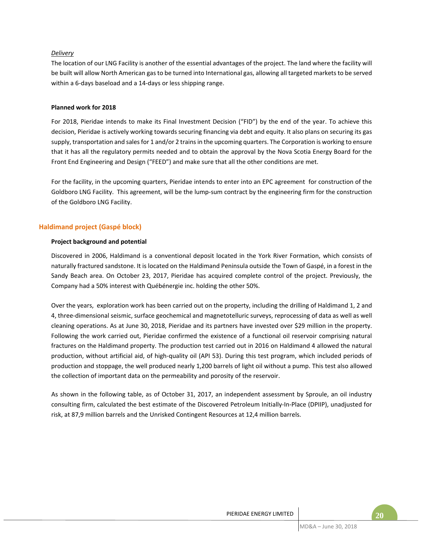## *Delivery*

The location of our LNG Facility is another of the essential advantages of the project. The land where the facility will be built will allow North American gas to be turned into International gas, allowing all targeted markets to be served within a 6-days baseload and a 14-days or less shipping range.

#### **Planned work for 2018**

For 2018, Pieridae intends to make its Final Investment Decision ("FID") by the end of the year. To achieve this decision, Pieridae is actively working towards securing financing via debt and equity. It also plans on securing its gas supply, transportation and sales for 1 and/or 2 trains in the upcoming quarters. The Corporation is working to ensure that it has all the regulatory permits needed and to obtain the approval by the Nova Scotia Energy Board for the Front End Engineering and Design ("FEED") and make sure that all the other conditions are met.

For the facility, in the upcoming quarters, Pieridae intends to enter into an EPC agreement for construction of the Goldboro LNG Facility. This agreement, will be the lump-sum contract by the engineering firm for the construction of the Goldboro LNG Facility.

## **Haldimand project (Gaspé block)**

## **Project background and potential**

Discovered in 2006, Haldimand is a conventional deposit located in the York River Formation, which consists of naturally fractured sandstone. It is located on the Haldimand Peninsula outside the Town of Gaspé, in a forest in the Sandy Beach area. On October 23, 2017, Pieridae has acquired complete control of the project. Previously, the Company had a 50% interest with Québénergie inc. holding the other 50%.

Over the years, exploration work has been carried out on the property, including the drilling of Haldimand 1, 2 and 4, three-dimensional seismic, surface geochemical and magnetotelluric surveys, reprocessing of data as well as well cleaning operations. As at June 30, 2018, Pieridae and its partners have invested over \$29 million in the property. Following the work carried out, Pieridae confirmed the existence of a functional oil reservoir comprising natural fractures on the Haldimand property. The production test carried out in 2016 on Haldimand 4 allowed the natural production, without artificial aid, of high-quality oil (API 53). During this test program, which included periods of production and stoppage, the well produced nearly 1,200 barrels of light oil without a pump. This test also allowed the collection of important data on the permeability and porosity of the reservoir.

As shown in the following table, as of October 31, 2017, an independent assessment by Sproule, an oil industry consulting firm, calculated the best estimate of the Discovered Petroleum Initially-In-Place (DPIIP), unadjusted for risk, at 87,9 million barrels and the Unrisked Contingent Resources at 12,4 million barrels.

## PIERIDAE ENERGY LIMITED **FOR A SET A** 20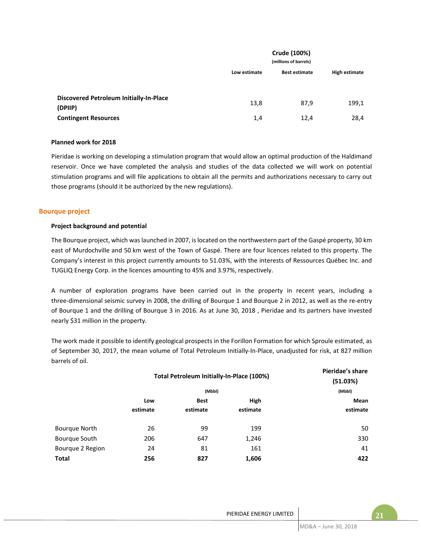|                                                           |              | Crude (100%)<br>(millions of barrels) |               |
|-----------------------------------------------------------|--------------|---------------------------------------|---------------|
|                                                           | Low estimate | <b>Best estimate</b>                  | High estimate |
|                                                           |              |                                       |               |
| <b>Discovered Petroleum Initially-In-Place</b><br>(DPIIP) | 13,8         | 87,9                                  | 199,1         |
| <b>Contingent Resources</b>                               | 1,4          | 12,4                                  | 28,4          |

#### **Planned work for 2018**

Pieridae is working on developing a stimulation program that would allow an optimal production of the Haldimand reservoir. Once we have completed the analysis and studies of the data collected we will work on potential stimulation programs and will file applications to obtain all the permits and authorizations necessary to carry out those programs (should it be authorized by the new regulations).

## **Bourque project**

## **Project background and potential**

The Bourque project, which was launched in 2007, is located on the northwestern part of the Gaspé property, 30 km east of Murdochville and 50 km west of the Town of Gaspé. There are four licences related to this property. The Company's interest in this project currently amounts to 51.03%, with the interests of Ressources Québec Inc. and TUGLIQ Energy Corp. in the licences amounting to 45% and 3.97%, respectively.

A number of exploration programs have been carried out in the property in recent years, including a three-dimensional seismic survey in 2008, the drilling of Bourque 1 and Bourque 2 in 2012, as well as the re-entry of Bourque 1 and the drilling of Bourque 3 in 2016. As at June 30, 2018 , Pieridae and its partners have invested nearly \$31 million in the property.

The work made it possible to identify geological prospects in the Forillon Formation for which Sproule estimated, as of September 30, 2017, the mean volume of Total Petroleum Initially-In-Place, unadjusted for risk, at 827 million barrels of oil.

|                      | Total Petroleum Initially-In-Place (100%) | Pieridae's share<br>(51.03%) |          |          |
|----------------------|-------------------------------------------|------------------------------|----------|----------|
|                      |                                           | (Mbbl)                       |          | (Mbbl)   |
|                      | Low                                       | <b>Best</b>                  | High     | Mean     |
|                      | estimate                                  | estimate                     | estimate | estimate |
| <b>Bourque North</b> | 26                                        | 99                           | 199      | 50       |
| Bourque South        | 206                                       | 647                          | 1,246    | 330      |
| Bourque 2 Region     | 24                                        | 81                           | 161      | 41       |
| <b>Total</b>         | 256                                       | 827                          | 1,606    | 422      |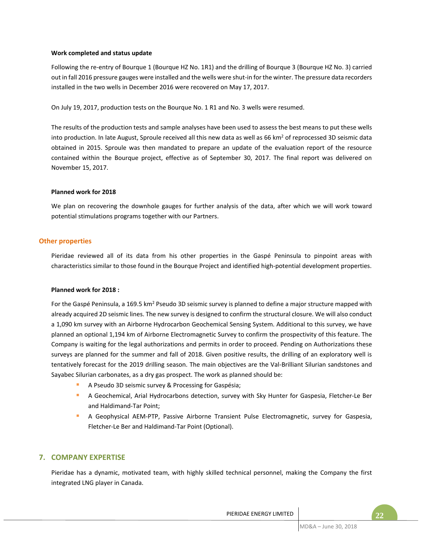## **Work completed and status update**

Following the re-entry of Bourque 1 (Bourque HZ No. 1R1) and the drilling of Bourque 3 (Bourque HZ No. 3) carried out in fall 2016 pressure gauges were installed and the wells were shut-in for the winter. The pressure data recorders installed in the two wells in December 2016 were recovered on May 17, 2017.

On July 19, 2017, production tests on the Bourque No. 1 R1 and No. 3 wells were resumed.

The results of the production tests and sample analyses have been used to assess the best means to put these wells into production. In late August, Sproule received all this new data as well as 66 km<sup>2</sup> of reprocessed 3D seismic data obtained in 2015. Sproule was then mandated to prepare an update of the evaluation report of the resource contained within the Bourque project, effective as of September 30, 2017. The final report was delivered on November 15, 2017.

## **Planned work for 2018**

We plan on recovering the downhole gauges for further analysis of the data, after which we will work toward potential stimulations programs together with our Partners.

## **Other properties**

Pieridae reviewed all of its data from his other properties in the Gaspé Peninsula to pinpoint areas with characteristics similar to those found in the Bourque Project and identified high-potential development properties.

#### **Planned work for 2018 :**

For the Gaspé Peninsula, a 169.5 km<sup>2</sup> Pseudo 3D seismic survey is planned to define a major structure mapped with already acquired 2D seismic lines. The new survey is designed to confirm the structural closure. We will also conduct a 1,090 km survey with an Airborne Hydrocarbon Geochemical Sensing System. Additional to this survey, we have planned an optional 1,194 km of Airborne Electromagnetic Survey to confirm the prospectivity of this feature. The Company is waiting for the legal authorizations and permits in order to proceed. Pending on Authorizations these surveys are planned for the summer and fall of 2018. Given positive results, the drilling of an exploratory well is tentatively forecast for the 2019 drilling season. The main objectives are the Val-Brilliant Silurian sandstones and Sayabec Silurian carbonates, as a dry gas prospect. The work as planned should be:

- A Pseudo 3D seismic survey & Processing for Gaspésia;
- A Geochemical, Arial Hydrocarbons detection, survey with Sky Hunter for Gaspesia, Fletcher-Le Ber and Haldimand-Tar Point;
- A Geophysical AEM-PTP, Passive Airborne Transient Pulse Electromagnetic, survey for Gaspesia, Fletcher-Le Ber and Haldimand-Tar Point (Optional).

# **7. COMPANY EXPERTISE**

Pieridae has a dynamic, motivated team, with highly skilled technical personnel, making the Company the first integrated LNG player in Canada.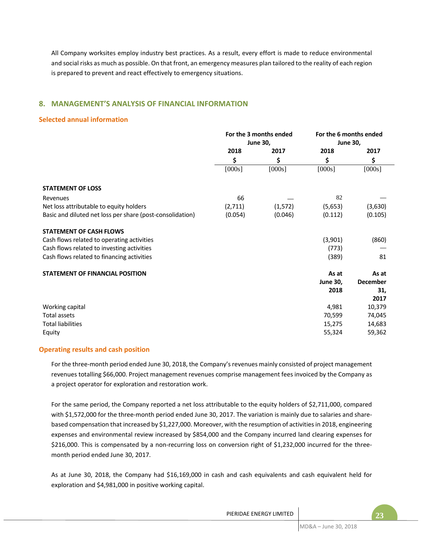All Company worksites employ industry best practices. As a result, every effort is made to reduce environmental and social risks as much as possible. On that front, an emergency measures plan tailored to the reality of each region is prepared to prevent and react effectively to emergency situations.

# **8. MANAGEMENT'S ANALYSIS OF FINANCIAL INFORMATION**

## **Selected annual information**

|                                                           |         | For the 3 months ended | For the 6 months ended |                 |
|-----------------------------------------------------------|---------|------------------------|------------------------|-----------------|
|                                                           |         | <b>June 30,</b>        | <b>June 30,</b>        |                 |
|                                                           | 2018    | 2017                   | 2018                   | 2017            |
|                                                           | \$      | \$                     | \$                     | \$              |
|                                                           | [000s]  | [000s]                 | [000s]                 | [000s]          |
| <b>STATEMENT OF LOSS</b>                                  |         |                        |                        |                 |
| Revenues                                                  | 66      |                        | 82                     |                 |
| Net loss attributable to equity holders                   | (2,711) | (1, 572)               | (5,653)                | (3,630)         |
| Basic and diluted net loss per share (post-consolidation) | (0.054) | (0.046)                | (0.112)                | (0.105)         |
| <b>STATEMENT OF CASH FLOWS</b>                            |         |                        |                        |                 |
| Cash flows related to operating activities                |         |                        | (3,901)                | (860)           |
| Cash flows related to investing activities                |         |                        | (773)                  |                 |
| Cash flows related to financing activities                |         |                        | (389)                  | 81              |
| <b>STATEMENT OF FINANCIAL POSITION</b>                    |         |                        | As at                  | As at           |
|                                                           |         |                        | <b>June 30,</b>        | <b>December</b> |
|                                                           |         |                        | 2018                   | 31,             |
|                                                           |         |                        |                        | 2017            |
| Working capital                                           |         |                        | 4,981                  | 10,379          |
| Total assets                                              |         |                        | 70,599                 | 74,045          |
| <b>Total liabilities</b>                                  |         |                        | 15,275                 | 14,683          |
| Equity                                                    |         |                        | 55,324                 | 59,362          |

## **Operating results and cash position**

For the three-month period ended June 30, 2018, the Company's revenues mainly consisted of project management revenues totalling \$66,000. Project management revenues comprise management fees invoiced by the Company as a project operator for exploration and restoration work.

For the same period, the Company reported a net loss attributable to the equity holders of \$2,711,000, compared with \$1,572,000 for the three-month period ended June 30, 2017. The variation is mainly due to salaries and sharebased compensation that increased by \$1,227,000. Moreover, with the resumption of activities in 2018, engineering expenses and environmental review increased by \$854,000 and the Company incurred land clearing expenses for \$216,000. This is compensated by a non-recurring loss on conversion right of \$1,232,000 incurred for the threemonth period ended June 30, 2017.

As at June 30, 2018, the Company had \$16,169,000 in cash and cash equivalents and cash equivalent held for exploration and \$4,981,000 in positive working capital.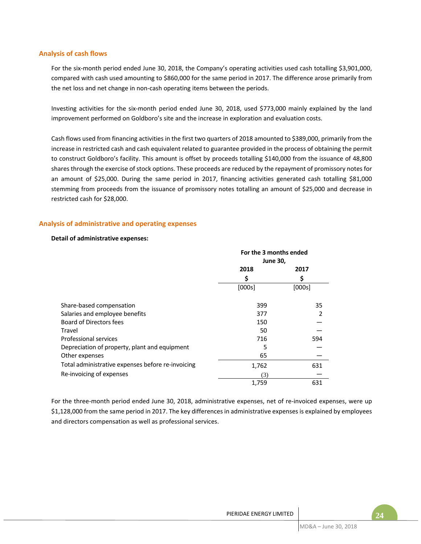## **Analysis of cash flows**

For the six-month period ended June 30, 2018, the Company's operating activities used cash totalling \$3,901,000, compared with cash used amounting to \$860,000 for the same period in 2017. The difference arose primarily from the net loss and net change in non-cash operating items between the periods.

Investing activities for the six-month period ended June 30, 2018, used \$773,000 mainly explained by the land improvement performed on Goldboro's site and the increase in exploration and evaluation costs.

Cash flows used from financing activities in the first two quarters of 2018 amounted to \$389,000, primarily from the increase in restricted cash and cash equivalent related to guarantee provided in the process of obtaining the permit to construct Goldboro's facility. This amount is offset by proceeds totalling \$140,000 from the issuance of 48,800 sharesthrough the exercise of stock options. These proceeds are reduced by the repayment of promissory notes for an amount of \$25,000. During the same period in 2017, financing activities generated cash totalling \$81,000 stemming from proceeds from the issuance of promissory notes totalling an amount of \$25,000 and decrease in restricted cash for \$28,000.

## **Analysis of administrative and operating expenses**

## **Detail of administrative expenses:**

|                                                   | For the 3 months ended<br><b>June 30,</b> |        |
|---------------------------------------------------|-------------------------------------------|--------|
|                                                   | 2018                                      | 2017   |
|                                                   | S                                         |        |
|                                                   | [000s]                                    | [000s] |
| Share-based compensation                          | 399                                       | 35     |
| Salaries and employee benefits                    | 377                                       |        |
| <b>Board of Directors fees</b>                    | 150                                       |        |
| Travel                                            | 50                                        |        |
| <b>Professional services</b>                      | 716                                       | 594    |
| Depreciation of property, plant and equipment     | 5                                         |        |
| Other expenses                                    | 65                                        |        |
| Total administrative expenses before re-invoicing | 1,762                                     | 631    |
| Re-invoicing of expenses                          | (3)                                       |        |
|                                                   | 1,759                                     | 631    |

For the three-month period ended June 30, 2018, administrative expenses, net of re-invoiced expenses, were up \$1,128,000 from the same period in 2017. The key differences in administrative expenses is explained by employees and directors compensation as well as professional services.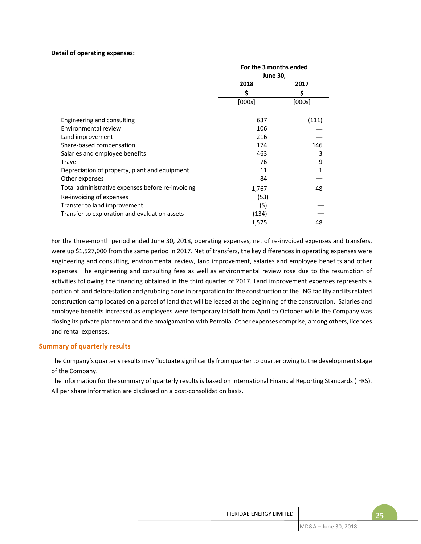#### **Detail of operating expenses:**

|                                                   | For the 3 months ended<br><b>June 30,</b> |        |  |  |
|---------------------------------------------------|-------------------------------------------|--------|--|--|
|                                                   | 2018                                      | 2017   |  |  |
|                                                   | \$                                        | \$     |  |  |
|                                                   | [000s]                                    | [000s] |  |  |
| Engineering and consulting                        | 637                                       | (111)  |  |  |
| Environmental review                              | 106                                       |        |  |  |
| Land improvement                                  | 216                                       |        |  |  |
| Share-based compensation                          | 174                                       | 146    |  |  |
| Salaries and employee benefits                    | 463                                       | 3      |  |  |
| Travel                                            | 76                                        | 9      |  |  |
| Depreciation of property, plant and equipment     | 11                                        | 1      |  |  |
| Other expenses                                    | 84                                        |        |  |  |
| Total administrative expenses before re-invoicing | 1,767                                     | 48     |  |  |
| Re-invoicing of expenses                          | (53)                                      |        |  |  |
| Transfer to land improvement                      | (5)                                       |        |  |  |
| Transfer to exploration and evaluation assets     | (134)                                     |        |  |  |
|                                                   | 1,575                                     | 48     |  |  |

For the three-month period ended June 30, 2018, operating expenses, net of re-invoiced expenses and transfers, were up \$1,527,000 from the same period in 2017. Net of transfers, the key differences in operating expenses were engineering and consulting, environmental review, land improvement, salaries and employee benefits and other expenses. The engineering and consulting fees as well as environmental review rose due to the resumption of activities following the financing obtained in the third quarter of 2017. Land improvement expenses represents a portion of land deforestation and grubbing done in preparation for the construction of the LNG facility and its related construction camp located on a parcel of land that will be leased at the beginning of the construction. Salaries and employee benefits increased as employees were temporary laidoff from April to October while the Company was closing its private placement and the amalgamation with Petrolia. Other expenses comprise, among others, licences and rental expenses.

## **Summary of quarterly results**

The Company's quarterly results may fluctuate significantly from quarter to quarter owing to the development stage of the Company.

The information for the summary of quarterly results is based on International Financial Reporting Standards (IFRS). All per share information are disclosed on a post-consolidation basis.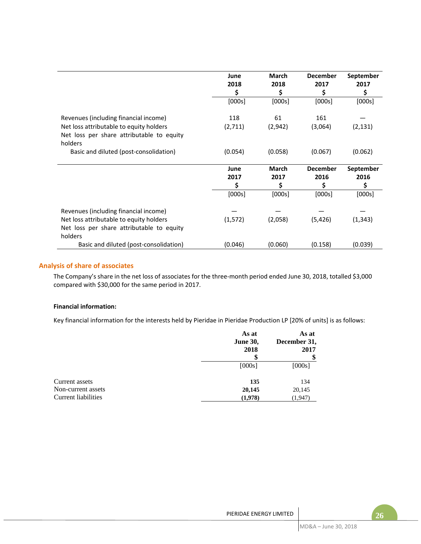|                                                                                                                                          | June<br>2018<br>S | <b>March</b><br>2018<br>S  | <b>December</b><br>2017<br>S  | September<br>2017<br>\$ |
|------------------------------------------------------------------------------------------------------------------------------------------|-------------------|----------------------------|-------------------------------|-------------------------|
|                                                                                                                                          | [000s]            | [000s]                     | [000s]                        | [000s]                  |
| Revenues (including financial income)<br>Net loss attributable to equity holders<br>Net loss per share attributable to equity<br>holders | 118<br>(2,711)    | 61<br>(2,942)              | 161<br>(3,064)                | (2, 131)                |
| Basic and diluted (post-consolidation)                                                                                                   | (0.054)           | (0.058)                    | (0.067)                       | (0.062)                 |
|                                                                                                                                          | June<br>2017<br>S | <b>March</b><br>2017<br>\$ | <b>December</b><br>2016<br>\$ | September<br>2016<br>\$ |
|                                                                                                                                          | [000s]            | [000s]                     | [000s]                        | [000s]                  |
| Revenues (including financial income)<br>Net loss attributable to equity holders<br>Net loss per share attributable to equity<br>holders | (1, 572)          | (2,058)                    | (5,426)                       | (1, 343)                |
| Basic and diluted (post-consolidation)                                                                                                   | (0.046)           | (0.060)                    | (0.158)                       | (0.039)                 |

## **Analysis of share of associates**

The Company's share in the net loss of associates for the three-month period ended June 30, 2018, totalled \$3,000 compared with \$30,000 for the same period in 2017.

#### **Financial information:**

Key financial information for the interests held by Pieridae in Pieridae Production LP [20% of units] is as follows:

|                     | As at<br><b>June 30,</b><br>2018 | As at<br>December 31,<br>2017<br>\$ |
|---------------------|----------------------------------|-------------------------------------|
|                     | [000s]                           | [000s]                              |
| Current assets      | 135                              | 134                                 |
| Non-current assets  | 20,145                           | 20,145                              |
| Current liabilities | (1,978)                          | (1, 947)                            |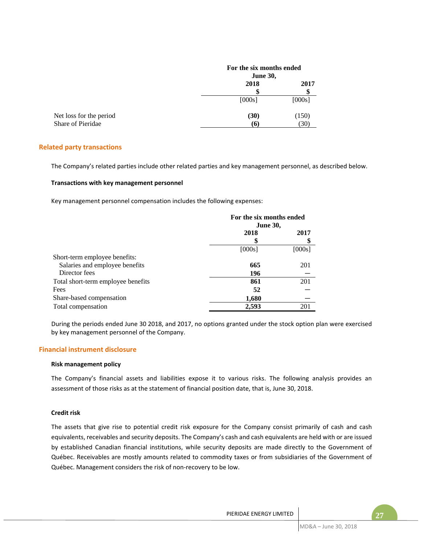|                         | For the six months ended |        |
|-------------------------|--------------------------|--------|
|                         | <b>June 30,</b>          |        |
|                         | 2018                     | 2017   |
|                         | S                        |        |
|                         | [000s]                   | [000s] |
| Net loss for the period | (30)                     | (150)  |
| Share of Pieridae       | $\sigma$                 | (30)   |

## **Related party transactions**

The Company's related parties include other related parties and key management personnel, as described below.

#### **Transactions with key management personnel**

Key management personnel compensation includes the following expenses:

|                                    | For the six months ended<br><b>June 30,</b> |        |
|------------------------------------|---------------------------------------------|--------|
|                                    | 2018                                        | 2017   |
|                                    | [000s]                                      | [000s] |
| Short-term employee benefits:      |                                             |        |
| Salaries and employee benefits     | 665                                         | 201    |
| Director fees                      | 196                                         |        |
| Total short-term employee benefits | 861                                         | 201    |
| Fees                               | 52                                          |        |
| Share-based compensation           | 1,680                                       |        |
| Total compensation                 | 2,593                                       | 201    |

During the periods ended June 30 2018, and 2017, no options granted under the stock option plan were exercised by key management personnel of the Company.

## **Financial instrument disclosure**

#### **Risk management policy**

The Company's financial assets and liabilities expose it to various risks. The following analysis provides an assessment of those risks as at the statement of financial position date, that is, June 30, 2018.

#### **Credit risk**

The assets that give rise to potential credit risk exposure for the Company consist primarily of cash and cash equivalents, receivables and security deposits. The Company's cash and cash equivalents are held with or are issued by established Canadian financial institutions, while security deposits are made directly to the Government of Québec. Receivables are mostly amounts related to commodity taxes or from subsidiaries of the Government of Québec. Management considers the risk of non-recovery to be low.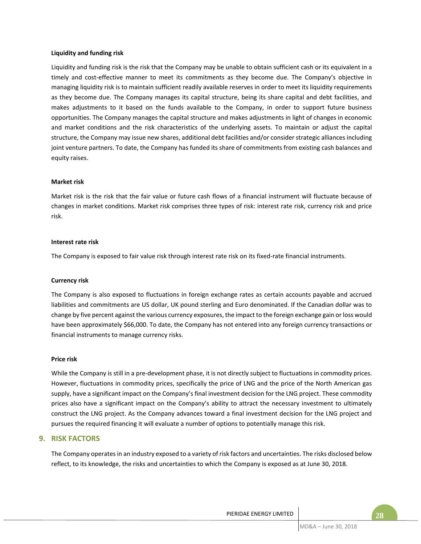#### **Liquidity and funding risk**

Liquidity and funding risk is the risk that the Company may be unable to obtain sufficient cash or its equivalent in a timely and cost-effective manner to meet its commitments as they become due. The Company's objective in managing liquidity risk is to maintain sufficient readily available reserves in order to meet its liquidity requirements as they become due. The Company manages its capital structure, being its share capital and debt facilities, and makes adjustments to it based on the funds available to the Company, in order to support future business opportunities. The Company manages the capital structure and makes adjustments in light of changes in economic and market conditions and the risk characteristics of the underlying assets. To maintain or adjust the capital structure, the Company may issue new shares, additional debt facilities and/or consider strategic alliances including joint venture partners. To date, the Company has funded its share of commitments from existing cash balances and equity raises.

#### **Market risk**

Market risk is the risk that the fair value or future cash flows of a financial instrument will fluctuate because of changes in market conditions. Market risk comprises three types of risk: interest rate risk, currency risk and price risk.

## **Interest rate risk**

The Company is exposed to fair value risk through interest rate risk on its fixed-rate financial instruments.

#### **Currency risk**

The Company is also exposed to fluctuations in foreign exchange rates as certain accounts payable and accrued liabilities and commitments are US dollar, UK pound sterling and Euro denominated. If the Canadian dollar was to change by five percent against the various currency exposures, the impact to the foreign exchange gain or loss would have been approximately \$66,000. To date, the Company has not entered into any foreign currency transactions or financial instruments to manage currency risks.

#### **Price risk**

While the Company is still in a pre-development phase, it is not directly subject to fluctuations in commodity prices. However, fluctuations in commodity prices, specifically the price of LNG and the price of the North American gas supply, have a significant impact on the Company's final investment decision for the LNG project. These commodity prices also have a significant impact on the Company's ability to attract the necessary investment to ultimately construct the LNG project. As the Company advances toward a final investment decision for the LNG project and pursues the required financing it will evaluate a number of options to potentially manage this risk.

## **9. RISK FACTORS**

The Company operates in an industry exposed to a variety of risk factors and uncertainties. The risks disclosed below reflect, to its knowledge, the risks and uncertainties to which the Company is exposed as at June 30, 2018.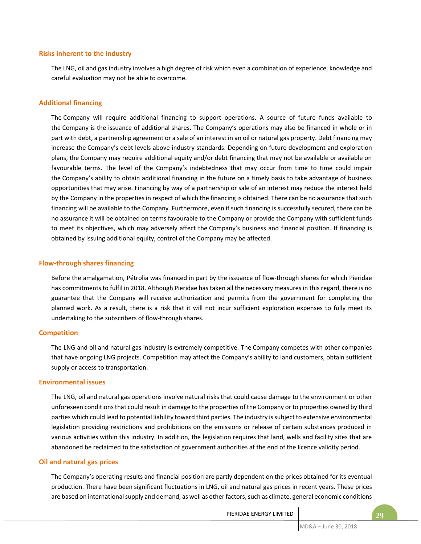#### **Risks inherent to the industry**

The LNG, oil and gas industry involves a high degree of risk which even a combination of experience, knowledge and careful evaluation may not be able to overcome.

#### **Additional financing**

The Company will require additional financing to support operations. A source of future funds available to the Company is the issuance of additional shares. The Company's operations may also be financed in whole or in part with debt, a partnership agreement or a sale of an interest in an oil or natural gas property. Debt financing may increase the Company's debt levels above industry standards. Depending on future development and exploration plans, the Company may require additional equity and/or debt financing that may not be available or available on favourable terms. The level of the Company's indebtedness that may occur from time to time could impair the Company's ability to obtain additional financing in the future on a timely basis to take advantage of business opportunities that may arise. Financing by way of a partnership or sale of an interest may reduce the interest held by the Company in the properties in respect of which the financing is obtained. There can be no assurance that such financing will be available to the Company. Furthermore, even if such financing is successfully secured, there can be no assurance it will be obtained on terms favourable to the Company or provide the Company with sufficient funds to meet its objectives, which may adversely affect the Company's business and financial position. If financing is obtained by issuing additional equity, control of the Company may be affected.

## **Flow-through shares financing**

Before the amalgamation, Pétrolia was financed in part by the issuance of flow-through shares for which Pieridae has commitments to fulfil in 2018. Although Pieridae has taken all the necessary measures in this regard, there is no guarantee that the Company will receive authorization and permits from the government for completing the planned work. As a result, there is a risk that it will not incur sufficient exploration expenses to fully meet its undertaking to the subscribers of flow-through shares.

#### **Competition**

The LNG and oil and natural gas industry is extremely competitive. The Company competes with other companies that have ongoing LNG projects. Competition may affect the Company's ability to land customers, obtain sufficient supply or access to transportation.

## **Environmental issues**

The LNG, oil and natural gas operations involve natural risks that could cause damage to the environment or other unforeseen conditions that could result in damage to the properties of the Company or to properties owned by third parties which could lead to potential liability toward third parties. The industry is subject to extensive environmental legislation providing restrictions and prohibitions on the emissions or release of certain substances produced in various activities within this industry. In addition, the legislation requires that land, wells and facility sites that are abandoned be reclaimed to the satisfaction of government authorities at the end of the licence validity period.

#### **Oil and natural gas prices**

The Company's operating results and financial position are partly dependent on the prices obtained for its eventual production. There have been significant fluctuations in LNG, oil and natural gas prices in recent years. These prices are based on international supply and demand, as well as other factors, such as climate, general economic conditions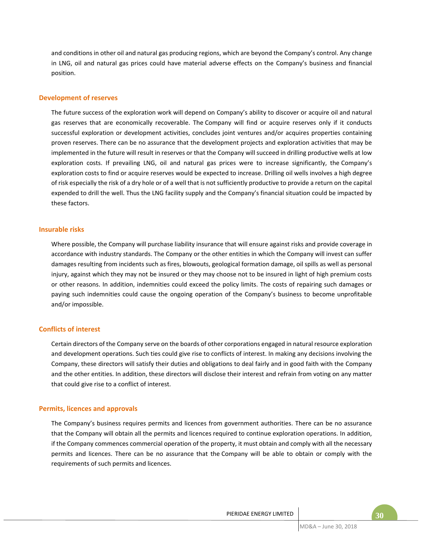and conditions in other oil and natural gas producing regions, which are beyond the Company's control. Any change in LNG, oil and natural gas prices could have material adverse effects on the Company's business and financial position.

## **Development of reserves**

The future success of the exploration work will depend on Company's ability to discover or acquire oil and natural gas reserves that are economically recoverable. The Company will find or acquire reserves only if it conducts successful exploration or development activities, concludes joint ventures and/or acquires properties containing proven reserves. There can be no assurance that the development projects and exploration activities that may be implemented in the future will result in reserves or that the Company will succeed in drilling productive wells at low exploration costs. If prevailing LNG, oil and natural gas prices were to increase significantly, the Company's exploration costs to find or acquire reserves would be expected to increase. Drilling oil wells involves a high degree of risk especially the risk of a dry hole or of a well that is not sufficiently productive to provide a return on the capital expended to drill the well. Thus the LNG facility supply and the Company's financial situation could be impacted by these factors.

## **Insurable risks**

Where possible, the Company will purchase liability insurance that will ensure against risks and provide coverage in accordance with industry standards. The Company or the other entities in which the Company will invest can suffer damages resulting from incidents such as fires, blowouts, geological formation damage, oil spills as well as personal injury, against which they may not be insured or they may choose not to be insured in light of high premium costs or other reasons. In addition, indemnities could exceed the policy limits. The costs of repairing such damages or paying such indemnities could cause the ongoing operation of the Company's business to become unprofitable and/or impossible.

## **Conflicts of interest**

Certain directors of the Company serve on the boards of other corporations engaged in natural resource exploration and development operations. Such ties could give rise to conflicts of interest. In making any decisions involving the Company, these directors will satisfy their duties and obligations to deal fairly and in good faith with the Company and the other entities. In addition, these directors will disclose their interest and refrain from voting on any matter that could give rise to a conflict of interest.

#### **Permits, licences and approvals**

The Company's business requires permits and licences from government authorities. There can be no assurance that the Company will obtain all the permits and licences required to continue exploration operations. In addition, if the Company commences commercial operation of the property, it must obtain and comply with all the necessary permits and licences. There can be no assurance that the Company will be able to obtain or comply with the requirements of such permits and licences.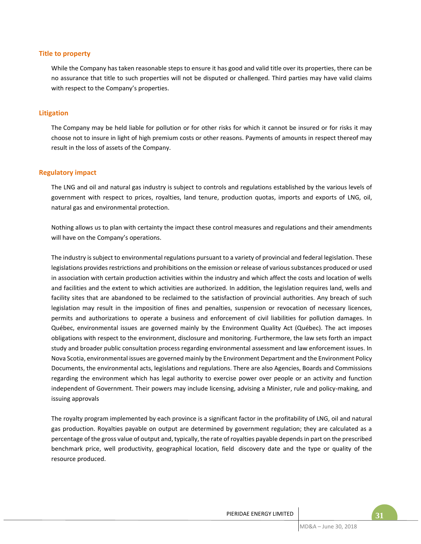#### **Title to property**

While the Company has taken reasonable steps to ensure it has good and valid title over its properties, there can be no assurance that title to such properties will not be disputed or challenged. Third parties may have valid claims with respect to the Company's properties.

#### **Litigation**

The Company may be held liable for pollution or for other risks for which it cannot be insured or for risks it may choose not to insure in light of high premium costs or other reasons. Payments of amounts in respect thereof may result in the loss of assets of the Company.

#### **Regulatory impact**

The LNG and oil and natural gas industry is subject to controls and regulations established by the various levels of government with respect to prices, royalties, land tenure, production quotas, imports and exports of LNG, oil, natural gas and environmental protection.

Nothing allows us to plan with certainty the impact these control measures and regulations and their amendments will have on the Company's operations.

The industry is subject to environmental regulations pursuant to a variety of provincial and federal legislation. These legislations provides restrictions and prohibitions on the emission or release of various substances produced or used in association with certain production activities within the industry and which affect the costs and location of wells and facilities and the extent to which activities are authorized. In addition, the legislation requires land, wells and facility sites that are abandoned to be reclaimed to the satisfaction of provincial authorities. Any breach of such legislation may result in the imposition of fines and penalties, suspension or revocation of necessary licences, permits and authorizations to operate a business and enforcement of civil liabilities for pollution damages. In Québec, environmental issues are governed mainly by the Environment Quality Act (Québec). The act imposes obligations with respect to the environment, disclosure and monitoring. Furthermore, the law sets forth an impact study and broader public consultation process regarding environmental assessment and law enforcement issues. In Nova Scotia, environmental issues are governed mainly by the Environment Department and the Environment Policy Documents, the environmental acts, legislations and regulations. There are also Agencies, Boards and Commissions regarding the environment which has legal authority to exercise power over people or an activity and function independent of Government. Their powers may include licensing, advising a Minister, rule and policy-making, and issuing approvals

The royalty program implemented by each province is a significant factor in the profitability of LNG, oil and natural gas production. Royalties payable on output are determined by government regulation; they are calculated as a percentage of the gross value of output and, typically, the rate of royalties payable depends in part on the prescribed benchmark price, well productivity, geographical location, field discovery date and the type or quality of the resource produced.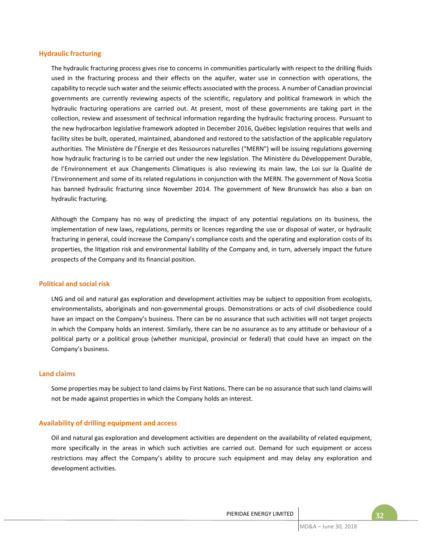#### **Hydraulic fracturing**

The hydraulic fracturing process gives rise to concerns in communities particularly with respect to the drilling fluids used in the fracturing process and their effects on the aquifer, water use in connection with operations, the capability to recycle such water and the seismic effects associated with the process. A number of Canadian provincial governments are currently reviewing aspects of the scientific, regulatory and political framework in which the hydraulic fracturing operations are carried out. At present, most of these governments are taking part in the collection, review and assessment of technical information regarding the hydraulic fracturing process. Pursuant to the new hydrocarbon legislative framework adopted in December 2016, Québec legislation requires that wells and facility sites be built, operated, maintained, abandoned and restored to the satisfaction of the applicable regulatory authorities. The Ministère de l'Énergie et des Ressources naturelles ("MERN") will be issuing regulations governing how hydraulic fracturing is to be carried out under the new legislation. The Ministère du Développement Durable, de l'Environnement et aux Changements Climatiques is also reviewing its main law, the Loi sur la Qualité de l'Environnement and some of its related regulations in conjunction with the MERN. The government of Nova Scotia has banned hydraulic fracturing since November 2014. The government of New Brunswick has also a ban on hydraulic fracturing.

Although the Company has no way of predicting the impact of any potential regulations on its business, the implementation of new laws, regulations, permits or licences regarding the use or disposal of water, or hydraulic fracturing in general, could increase the Company's compliance costs and the operating and exploration costs of its properties, the litigation risk and environmental liability of the Company and, in turn, adversely impact the future prospects of the Company and its financial position.

## **Political and social risk**

LNG and oil and natural gas exploration and development activities may be subject to opposition from ecologists, environmentalists, aboriginals and non-governmental groups. Demonstrations or acts of civil disobedience could have an impact on the Company's business. There can be no assurance that such activities will not target projects in which the Company holds an interest. Similarly, there can be no assurance as to any attitude or behaviour of a political party or a political group (whether municipal, provincial or federal) that could have an impact on the Company's business.

## **Land claims**

Some properties may be subject to land claims by First Nations. There can be no assurance that such land claims will not be made against properties in which the Company holds an interest.

## **Availability of drilling equipment and access**

Oil and natural gas exploration and development activities are dependent on the availability of related equipment, more specifically in the areas in which such activities are carried out. Demand for such equipment or access restrictions may affect the Company's ability to procure such equipment and may delay any exploration and development activities.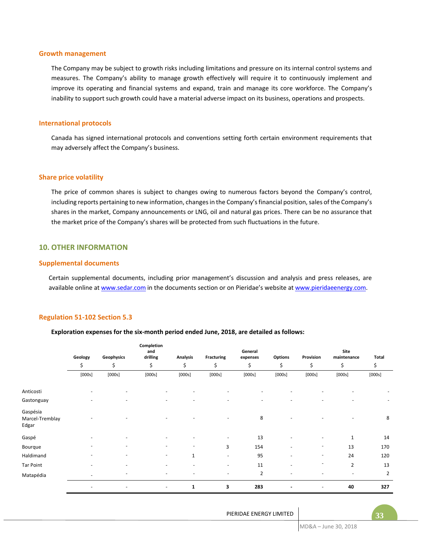#### **Growth management**

The Company may be subject to growth risks including limitations and pressure on its internal control systems and measures. The Company's ability to manage growth effectively will require it to continuously implement and improve its operating and financial systems and expand, train and manage its core workforce. The Company's inability to support such growth could have a material adverse impact on its business, operations and prospects.

#### **International protocols**

Canada has signed international protocols and conventions setting forth certain environment requirements that may adversely affect the Company's business.

#### **Share price volatility**

The price of common shares is subject to changes owing to numerous factors beyond the Company's control, including reports pertaining to new information, changes in the Company's financial position, sales of the Company's shares in the market, Company announcements or LNG, oil and natural gas prices. There can be no assurance that the market price of the Company's shares will be protected from such fluctuations in the future.

## **10. OTHER INFORMATION**

#### **Supplemental documents**

Certain supplemental documents, including prior management's discussion and analysis and press releases, are available online at www.sedar.com in the documents section or on Pieridae's website at www.pieridaeenergy.com.

#### **Regulation 51-102 Section 5.3**

#### **Exploration expenses for the six-month period ended June, 2018, are detailed as follows:**

|                                      | Geology | Geophysics               | Completion<br>and<br>drilling | <b>Analysis</b> | <b>Fracturing</b>        | General<br>expenses | <b>Options</b> | Provision                | Site<br>maintenance | Total          |
|--------------------------------------|---------|--------------------------|-------------------------------|-----------------|--------------------------|---------------------|----------------|--------------------------|---------------------|----------------|
|                                      | \$      | \$                       | \$                            | \$              | \$                       | \$                  | \$             | \$                       | \$                  | \$             |
|                                      | [000s]  | [000s]                   | [000s]                        | [000s]          | [000s]                   | [000s]              | [000s]         | [000s]                   | [000s]              | [000s]         |
| Anticosti                            |         |                          |                               |                 |                          |                     |                |                          |                     |                |
| Gastonguay                           |         | ۰                        |                               |                 |                          | $\sim$              |                |                          |                     | ٠              |
| Gaspésia<br>Marcel-Tremblay<br>Edgar |         |                          |                               |                 |                          | 8                   |                |                          |                     | 8              |
| Gaspé                                |         |                          |                               |                 |                          | 13                  |                |                          | 1                   | 14             |
| Bourque                              |         |                          |                               |                 | 3                        | 154                 | ٠              |                          | 13                  | 170            |
| Haldimand                            |         | $\overline{\phantom{0}}$ | $\overline{\phantom{0}}$      | $\mathbf{1}$    | $\overline{\phantom{0}}$ | 95                  | ٠              | $\overline{\phantom{a}}$ | 24                  | 120            |
| <b>Tar Point</b>                     |         |                          |                               |                 | $\overline{\phantom{0}}$ | 11                  |                |                          | $\overline{2}$      | 13             |
| Matapédia                            | ٠       | $\overline{\phantom{0}}$ |                               |                 |                          | $\mathbf{2}$        |                |                          | ٠                   | $\overline{2}$ |
|                                      |         | ٠                        | $\overline{\phantom{a}}$      | $\mathbf{1}$    | 3                        | 283                 | ٠              |                          | 40                  | 327            |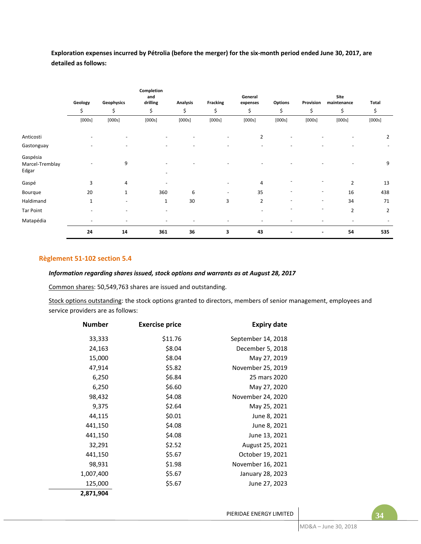**Exploration expenses incurred by Pétrolia (before the merger) for the six-month period ended June 30, 2017, are detailed as follows:**

|                                      |                          |                          | Completion<br>and        |                 |                          | General                  |                          |                          | Site           |                |
|--------------------------------------|--------------------------|--------------------------|--------------------------|-----------------|--------------------------|--------------------------|--------------------------|--------------------------|----------------|----------------|
|                                      | Geology                  | Geophysics               | drilling                 | <b>Analysis</b> | <b>Fracking</b>          | expenses                 | <b>Options</b>           | Provision                | maintenance    | Total          |
|                                      | \$                       | \$                       | \$                       | \$              | \$                       | \$                       | \$                       | \$                       | \$             | \$             |
|                                      | [000s]                   | [000s]                   | [000s]                   | [000s]          | [000s]                   | [000s]                   | [000s]                   | [000s]                   | [000s]         | [000s]         |
| Anticosti                            |                          |                          |                          |                 |                          | $\overline{2}$           |                          |                          |                | 2              |
| Gastonguay                           |                          |                          |                          |                 | ٠                        | $\overline{\phantom{a}}$ | ٠                        |                          |                | ۰              |
| Gaspésia<br>Marcel-Tremblay<br>Edgar |                          | 9                        | $\overline{\phantom{0}}$ |                 |                          |                          |                          |                          |                | 9              |
| Gaspé                                | 3                        | 4                        |                          |                 |                          | 4                        |                          |                          | $\overline{2}$ | 13             |
| Bourque                              | 20                       | 1                        | 360                      | 6               | $\overline{\phantom{a}}$ | 35                       |                          | $\overline{\phantom{0}}$ | 16             | 438            |
| Haldimand                            | 1                        | $\overline{\phantom{a}}$ | $\mathbf{1}$             | 30              | 3                        | $\overline{2}$           | $\overline{\phantom{0}}$ | $\overline{\phantom{0}}$ | 34             | 71             |
| <b>Tar Point</b>                     |                          |                          | $\overline{\phantom{0}}$ |                 |                          |                          |                          | ٠                        | $\overline{2}$ | $\overline{2}$ |
| Matapédia                            | $\overline{\phantom{a}}$ | $\overline{\phantom{m}}$ | -                        |                 |                          |                          | ٠                        |                          |                |                |
|                                      | 24                       | 14                       | 361                      | 36              | 3                        | 43                       |                          | ٠                        | 54             | 535            |

## **Règlement 51-102 section 5.4**

## *Information regarding shares issued, stock options and warrants as at August 28, 2017*

Common shares: 50,549,763 shares are issued and outstanding.

Stock options outstanding: the stock options granted to directors, members of senior management, employees and service providers are as follows:

| <b>Expiry date</b> | <b>Exercise price</b> | <b>Number</b> |
|--------------------|-----------------------|---------------|
| September 14, 2018 | \$11.76               | 33,333        |
| December 5, 2018   | \$8.04                | 24,163        |
| May 27, 2019       | \$8.04                | 15,000        |
| November 25, 2019  | \$5.82                | 47,914        |
| 25 mars 2020       | \$6.84                | 6,250         |
| May 27, 2020       | \$6.60                | 6,250         |
| November 24, 2020  | \$4.08                | 98,432        |
| May 25, 2021       | \$2.64                | 9,375         |
| June 8, 2021       | \$0.01                | 44,115        |
| June 8, 2021       | \$4.08                | 441,150       |
| June 13, 2021      | \$4.08                | 441,150       |
| August 25, 2021    | \$2.52                | 32,291        |
| October 19, 2021   | \$5.67                | 441,150       |
| November 16, 2021  | \$1.98                | 98,931        |
| January 28, 2023   | \$5.67                | 1,007,400     |
| June 27, 2023      | \$5.67                | 125,000       |
|                    |                       | 2,871,904     |